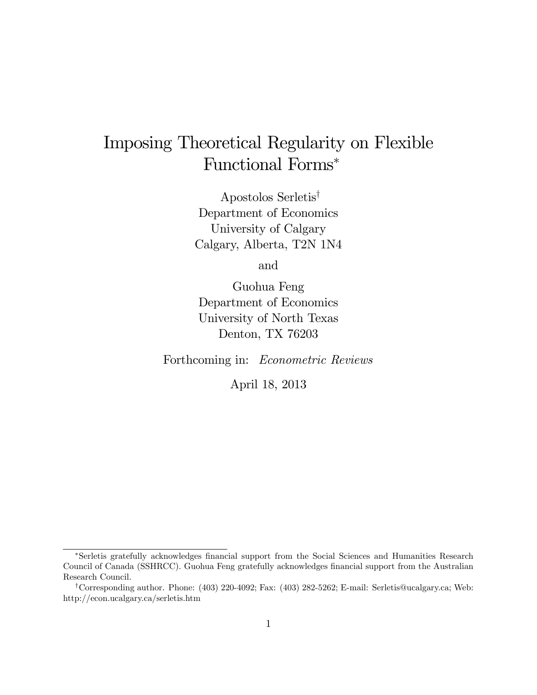# Imposing Theoretical Regularity on Flexible Functional Forms

Apostolos Serletis<sup>†</sup> Department of Economics University of Calgary Calgary, Alberta, T2N 1N4

and

Guohua Feng Department of Economics University of North Texas Denton, TX 76203

Forthcoming in: Econometric Reviews

April 18, 2013

<sup>\*</sup>Serletis gratefully acknowledges financial support from the Social Sciences and Humanities Research Council of Canada (SSHRCC). Guohua Feng gratefully acknowledges financial support from the Australian Research Council.

<sup>&</sup>lt;sup>†</sup>Corresponding author. Phone:  $(403)$  220-4092; Fax:  $(403)$  282-5262; E-mail: Serletis@ucalgary.ca; Web: http://econ.ucalgary.ca/serletis.htm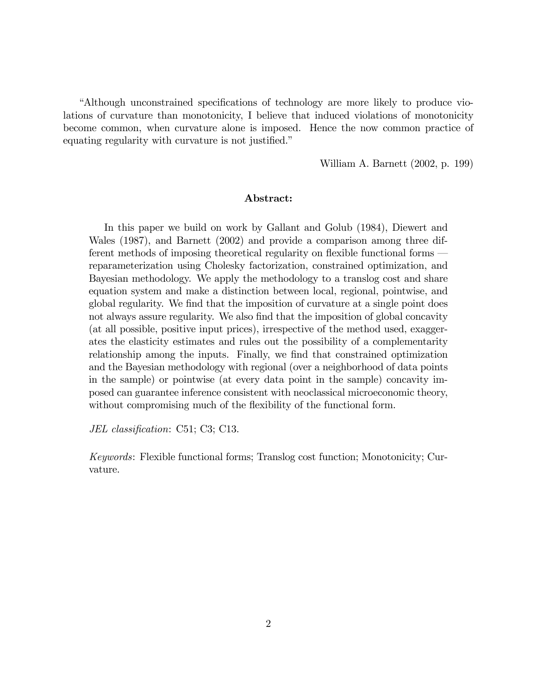ìAlthough unconstrained speciÖcations of technology are more likely to produce violations of curvature than monotonicity, I believe that induced violations of monotonicity become common, when curvature alone is imposed. Hence the now common practice of equating regularity with curvature is not justified.<sup>"</sup>

William A. Barnett (2002, p. 199)

#### Abstract:

In this paper we build on work by Gallant and Golub (1984), Diewert and Wales (1987), and Barnett (2002) and provide a comparison among three different methods of imposing theoretical regularity on flexible functional forms reparameterization using Cholesky factorization, constrained optimization, and Bayesian methodology. We apply the methodology to a translog cost and share equation system and make a distinction between local, regional, pointwise, and global regularity. We find that the imposition of curvature at a single point does not always assure regularity. We also find that the imposition of global concavity (at all possible, positive input prices), irrespective of the method used, exaggerates the elasticity estimates and rules out the possibility of a complementarity relationship among the inputs. Finally, we find that constrained optimization and the Bayesian methodology with regional (over a neighborhood of data points in the sample) or pointwise (at every data point in the sample) concavity imposed can guarantee inference consistent with neoclassical microeconomic theory, without compromising much of the flexibility of the functional form.

JEL classification: C51; C3; C13.

Keywords: Flexible functional forms; Translog cost function; Monotonicity; Curvature.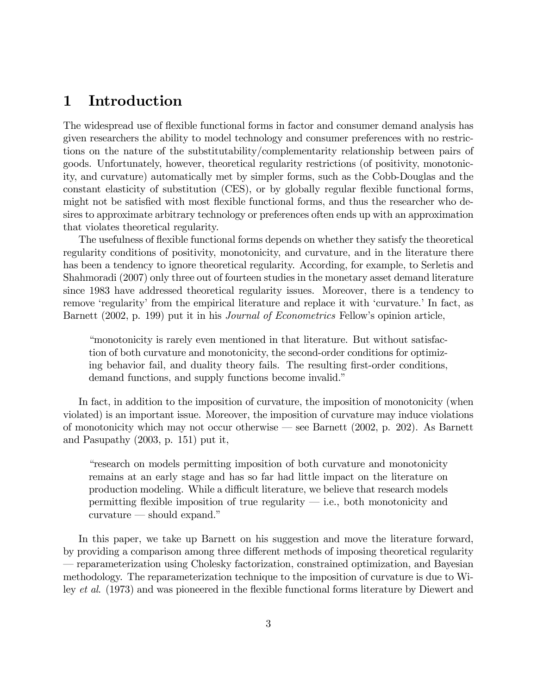## 1 Introduction

The widespread use of flexible functional forms in factor and consumer demand analysis has given researchers the ability to model technology and consumer preferences with no restrictions on the nature of the substitutability/complementarity relationship between pairs of goods. Unfortunately, however, theoretical regularity restrictions (of positivity, monotonicity, and curvature) automatically met by simpler forms, such as the Cobb-Douglas and the constant elasticity of substitution (CES), or by globally regular áexible functional forms, might not be satisfied with most flexible functional forms, and thus the researcher who desires to approximate arbitrary technology or preferences often ends up with an approximation that violates theoretical regularity.

The usefulness of flexible functional forms depends on whether they satisfy the theoretical regularity conditions of positivity, monotonicity, and curvature, and in the literature there has been a tendency to ignore theoretical regularity. According, for example, to Serletis and Shahmoradi (2007) only three out of fourteen studies in the monetary asset demand literature since 1983 have addressed theoretical regularity issues. Moreover, there is a tendency to remove 'regularity' from the empirical literature and replace it with 'curvature.' In fact, as Barnett (2002, p. 199) put it in his *Journal of Econometrics* Fellow's opinion article,

ìmonotonicity is rarely even mentioned in that literature. But without satisfaction of both curvature and monotonicity, the second-order conditions for optimizing behavior fail, and duality theory fails. The resulting first-order conditions, demand functions, and supply functions become invalid."

In fact, in addition to the imposition of curvature, the imposition of monotonicity (when violated) is an important issue. Moreover, the imposition of curvature may induce violations of monotonicity which may not occur otherwise  $\sim$  see Barnett (2002, p. 202). As Barnett and Pasupathy (2003, p. 151) put it,

ìresearch on models permitting imposition of both curvature and monotonicity remains at an early stage and has so far had little impact on the literature on production modeling. While a difficult literature, we believe that research models permitting flexible imposition of true regularity  $-$  i.e., both monotonicity and  $curvature$   $\rightarrow$  should expand."

In this paper, we take up Barnett on his suggestion and move the literature forward, by providing a comparison among three different methods of imposing theoretical regularity reparameterization using Cholesky factorization, constrained optimization, and Bayesian methodology. The reparameterization technique to the imposition of curvature is due to Wiley *et al.* (1973) and was pioneered in the flexible functional forms literature by Diewert and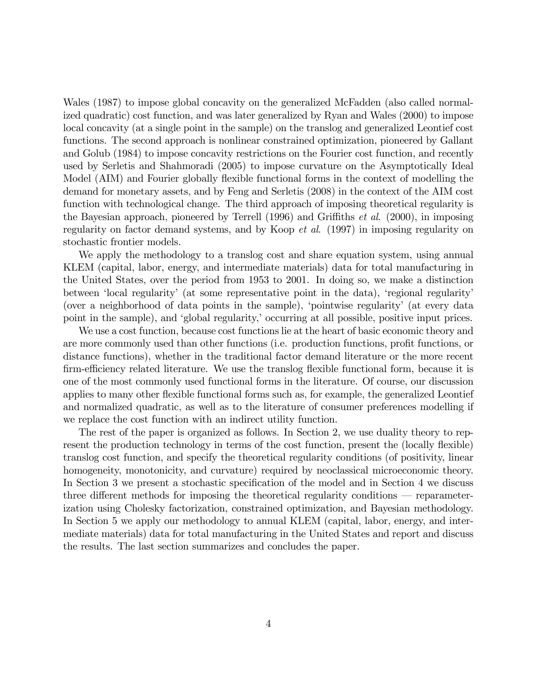Wales (1987) to impose global concavity on the generalized McFadden (also called normalized quadratic) cost function, and was later generalized by Ryan and Wales (2000) to impose local concavity (at a single point in the sample) on the translog and generalized Leontief cost functions. The second approach is nonlinear constrained optimization, pioneered by Gallant and Golub (1984) to impose concavity restrictions on the Fourier cost function, and recently used by Serletis and Shahmoradi (2005) to impose curvature on the Asymptotically Ideal Model (AIM) and Fourier globally flexible functional forms in the context of modelling the demand for monetary assets, and by Feng and Serletis (2008) in the context of the AIM cost function with technological change. The third approach of imposing theoretical regularity is the Bayesian approach, pioneered by Terrell  $(1996)$  and Griffiths *et al.*  $(2000)$ , in imposing regularity on factor demand systems, and by Koop et al. (1997) in imposing regularity on stochastic frontier models.

We apply the methodology to a translog cost and share equation system, using annual KLEM (capital, labor, energy, and intermediate materials) data for total manufacturing in the United States, over the period from 1953 to 2001. In doing so, we make a distinction between 'local regularity' (at some representative point in the data), 'regional regularity' (over a neighborhood of data points in the sample), 'pointwise regularity' (at every data point in the sample), and 'global regularity,' occurring at all possible, positive input prices.

We use a cost function, because cost functions lie at the heart of basic economic theory and are more commonly used than other functions (i.e. production functions, profit functions, or distance functions), whether in the traditional factor demand literature or the more recent firm-efficiency related literature. We use the translog flexible functional form, because it is one of the most commonly used functional forms in the literature. Of course, our discussion applies to many other áexible functional forms such as, for example, the generalized Leontief and normalized quadratic, as well as to the literature of consumer preferences modelling if we replace the cost function with an indirect utility function.

The rest of the paper is organized as follows. In Section 2, we use duality theory to represent the production technology in terms of the cost function, present the (locally flexible) translog cost function, and specify the theoretical regularity conditions (of positivity, linear homogeneity, monotonicity, and curvature) required by neoclassical microeconomic theory. In Section 3 we present a stochastic specification of the model and in Section 4 we discuss three different methods for imposing the theoretical regularity conditions  $\sim$  reparameterization using Cholesky factorization, constrained optimization, and Bayesian methodology. In Section 5 we apply our methodology to annual KLEM (capital, labor, energy, and intermediate materials) data for total manufacturing in the United States and report and discuss the results. The last section summarizes and concludes the paper.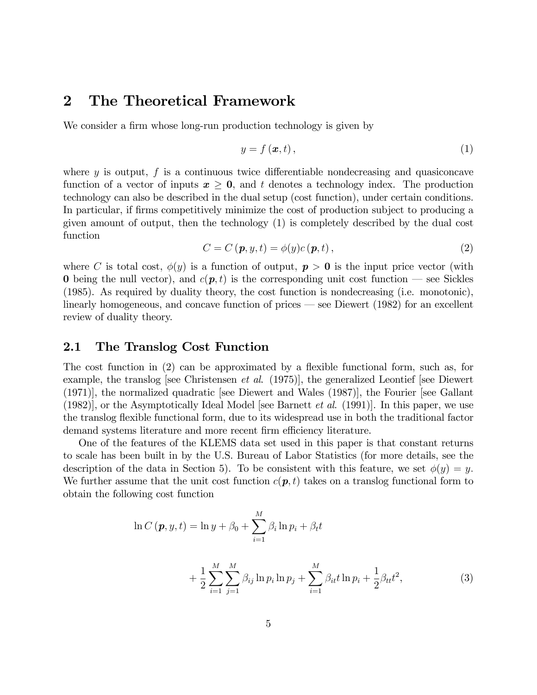## 2 The Theoretical Framework

We consider a firm whose long-run production technology is given by

$$
y = f\left(\boldsymbol{x}, t\right),\tag{1}
$$

where  $y$  is output,  $f$  is a continuous twice differentiable nondecreasing and quasiconcave function of a vector of inputs  $x \geq 0$ , and t denotes a technology index. The production technology can also be described in the dual setup (cost function), under certain conditions. In particular, if firms competitively minimize the cost of production subject to producing a given amount of output, then the technology (1) is completely described by the dual cost function

$$
C = C\left(\mathbf{p}, y, t\right) = \phi(y)c\left(\mathbf{p}, t\right),\tag{2}
$$

where C is total cost,  $\phi(y)$  is a function of output,  $p > 0$  is the input price vector (with 0 being the null vector), and  $c(p, t)$  is the corresponding unit cost function – see Sickles (1985). As required by duality theory, the cost function is nondecreasing (i.e. monotonic), linearly homogeneous, and concave function of prices  $\sim$  see Diewert (1982) for an excellent review of duality theory.

### 2.1 The Translog Cost Function

The cost function in  $(2)$  can be approximated by a flexible functional form, such as, for example, the translog [see Christensen *et al.* (1975)], the generalized Leontief [see Diewert (1971)], the normalized quadratic [see Diewert and Wales (1987)], the Fourier [see Gallant  $(1982)$ , or the Asymptotically Ideal Model [see Barnett *et al.*  $(1991)$ ]. In this paper, we use the translog flexible functional form, due to its widespread use in both the traditional factor demand systems literature and more recent firm efficiency literature.

One of the features of the KLEMS data set used in this paper is that constant returns to scale has been built in by the U.S. Bureau of Labor Statistics (for more details, see the description of the data in Section 5). To be consistent with this feature, we set  $\phi(y) = y$ . We further assume that the unit cost function  $c(\mathbf{p}, t)$  takes on a translog functional form to obtain the following cost function

$$
\ln C(\boldsymbol{p}, y, t) = \ln y + \beta_0 + \sum_{i=1}^{M} \beta_i \ln p_i + \beta_t t
$$

$$
+\frac{1}{2}\sum_{i=1}^{M}\sum_{j=1}^{M}\beta_{ij}\ln p_{i}\ln p_{j}+\sum_{i=1}^{M}\beta_{it}t\ln p_{i}+\frac{1}{2}\beta_{tt}t^{2},
$$
\n(3)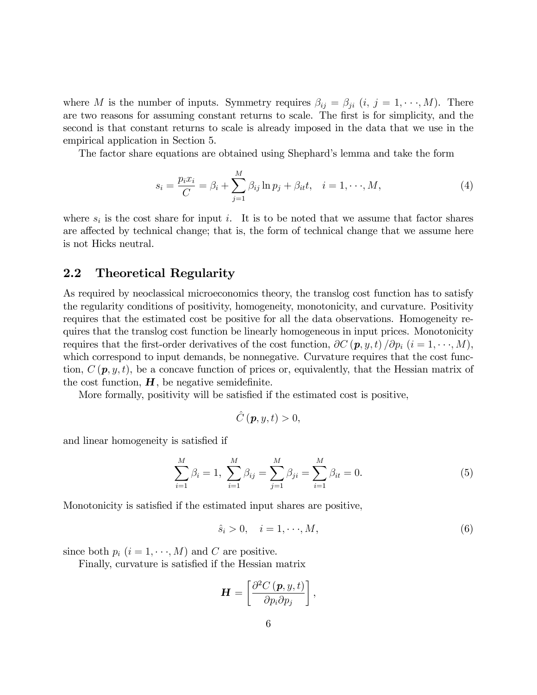where M is the number of inputs. Symmetry requires  $\beta_{ij} = \beta_{ji}$   $(i, j = 1, \dots, M)$ . There are two reasons for assuming constant returns to scale. The first is for simplicity, and the second is that constant returns to scale is already imposed in the data that we use in the empirical application in Section 5.

The factor share equations are obtained using Shephard's lemma and take the form

$$
s_i = \frac{p_i x_i}{C} = \beta_i + \sum_{j=1}^{M} \beta_{ij} \ln p_j + \beta_{it} t, \quad i = 1, \dots, M,
$$
 (4)

where  $s_i$  is the cost share for input i. It is to be noted that we assume that factor shares are affected by technical change; that is, the form of technical change that we assume here is not Hicks neutral.

### 2.2 Theoretical Regularity

As required by neoclassical microeconomics theory, the translog cost function has to satisfy the regularity conditions of positivity, homogeneity, monotonicity, and curvature. Positivity requires that the estimated cost be positive for all the data observations. Homogeneity requires that the translog cost function be linearly homogeneous in input prices. Monotonicity requires that the first-order derivatives of the cost function,  $\partial C(\mathbf{p}, y, t)$   $\partial p_i$   $(i = 1, \dots, M)$ , which correspond to input demands, be nonnegative. Curvature requires that the cost function,  $C(p, y, t)$ , be a concave function of prices or, equivalently, that the Hessian matrix of the cost function,  $H$ , be negative semidefinite.

More formally, positivity will be satisfied if the estimated cost is positive,

$$
\hat{C}\left(\boldsymbol{p},y,t\right) > 0,
$$

and linear homogeneity is satisfied if

$$
\sum_{i=1}^{M} \beta_i = 1, \ \sum_{i=1}^{M} \beta_{ij} = \sum_{j=1}^{M} \beta_{ji} = \sum_{i=1}^{M} \beta_{it} = 0.
$$
 (5)

Monotonicity is satisfied if the estimated input shares are positive,

$$
\hat{s}_i > 0, \quad i = 1, \cdots, M,\tag{6}
$$

since both  $p_i$   $(i = 1, \dots, M)$  and C are positive.

Finally, curvature is satisfied if the Hessian matrix

$$
\boldsymbol{H} = \left[ \frac{\partial^2 C\left(\boldsymbol{p}, y, t\right)}{\partial p_i \partial p_j} \right],
$$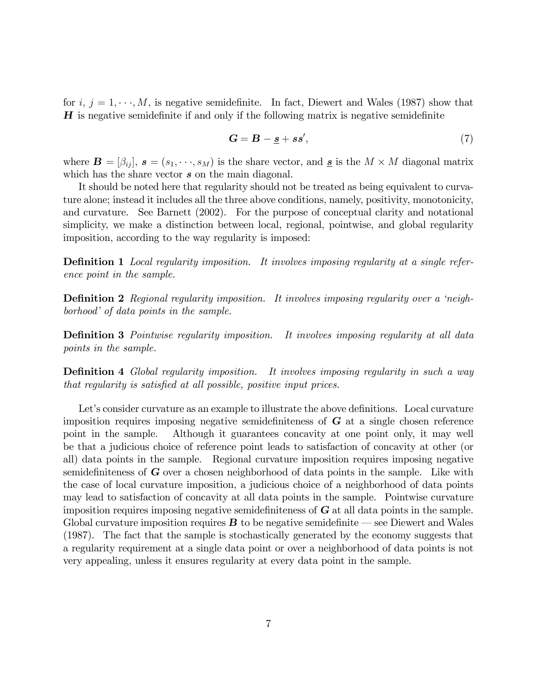for i,  $j = 1, \dots, M$ , is negative semidefinite. In fact, Diewert and Wales (1987) show that  $\boldsymbol{H}$  is negative semidefinite if and only if the following matrix is negative semidefinite

$$
G = B - \underline{s} + ss',\tag{7}
$$

where  $\mathbf{B} = [\beta_{ij}], \mathbf{s} = (s_1, \dots, s_M)$  is the share vector, and  $\underline{s}$  is the  $M \times M$  diagonal matrix which has the share vector  $s$  on the main diagonal.

It should be noted here that regularity should not be treated as being equivalent to curvature alone; instead it includes all the three above conditions, namely, positivity, monotonicity, and curvature. See Barnett (2002). For the purpose of conceptual clarity and notational simplicity, we make a distinction between local, regional, pointwise, and global regularity imposition, according to the way regularity is imposed:

**Definition 1** Local regularity imposition. It involves imposing regularity at a single reference point in the sample.

**Definition 2** Regional regularity imposition. It involves imposing regularity over a 'neighborhood' of data points in the sample.

**Definition 3** Pointwise regularity imposition. It involves imposing regularity at all data points in the sample.

**Definition 4** Global regularity imposition. It involves imposing regularity in such a way that regularity is satisfied at all possible, positive input prices.

Let's consider curvature as an example to illustrate the above definitions. Local curvature imposition requires imposing negative semidefiniteness of  $\bf{G}$  at a single chosen reference point in the sample. Although it guarantees concavity at one point only, it may well be that a judicious choice of reference point leads to satisfaction of concavity at other (or all) data points in the sample. Regional curvature imposition requires imposing negative semidefiniteness of  $\bf{G}$  over a chosen neighborhood of data points in the sample. Like with the case of local curvature imposition, a judicious choice of a neighborhood of data points may lead to satisfaction of concavity at all data points in the sample. Pointwise curvature imposition requires imposing negative semidefiniteness of  $G$  at all data points in the sample. Global curvature imposition requires  $\bf{B}$  to be negative semidefinite – see Diewert and Wales (1987). The fact that the sample is stochastically generated by the economy suggests that a regularity requirement at a single data point or over a neighborhood of data points is not very appealing, unless it ensures regularity at every data point in the sample.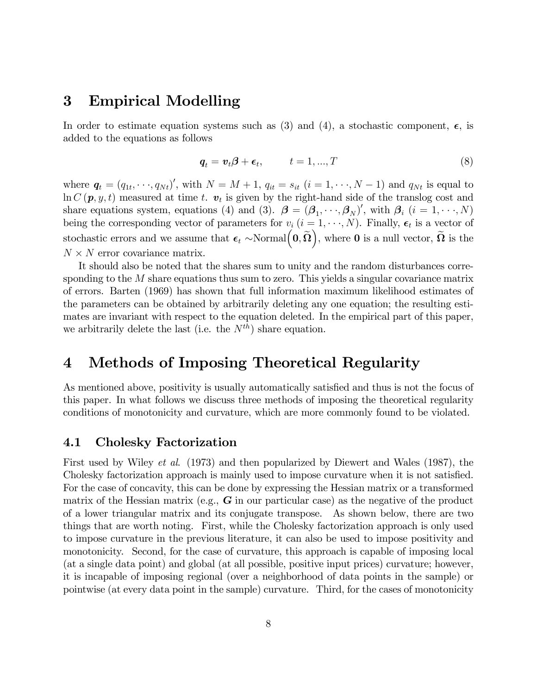## 3 Empirical Modelling

In order to estimate equation systems such as (3) and (4), a stochastic component,  $\epsilon$ , is added to the equations as follows

$$
\boldsymbol{q}_t = \boldsymbol{v}_t \boldsymbol{\beta} + \boldsymbol{\epsilon}_t, \qquad t = 1, ..., T \tag{8}
$$

where  $q_t = (q_{1t}, \dots, q_{Nt})'$ , with  $N = M + 1$ ,  $q_{it} = s_{it}$   $(i = 1, \dots, N - 1)$  and  $q_{Nt}$  is equal to  $\ln C(p, y, t)$  measured at time t.  $v_t$  is given by the right-hand side of the translog cost and share equations system, equations (4) and (3).  $\boldsymbol{\beta} = (\beta_1, \cdots, \beta_N)'$ , with  $\beta_i$   $(i = 1, \cdots, N)$ being the corresponding vector of parameters for  $v_i$   $(i = 1, \dots, N)$ . Finally,  $\epsilon_t$  is a vector of stochastic errors and we assume that  $\epsilon_t \sim \text{Normal}(\vec{0}, \tilde{\Omega})$ ), where  $\overset{\circ}{\mathbf{0}}$  is a null vector,  $\widetilde{\mathbf{\Omega}}$  is the  $N \times N$  error covariance matrix.

It should also be noted that the shares sum to unity and the random disturbances corresponding to the  $M$  share equations thus sum to zero. This yields a singular covariance matrix of errors. Barten (1969) has shown that full information maximum likelihood estimates of the parameters can be obtained by arbitrarily deleting any one equation; the resulting estimates are invariant with respect to the equation deleted. In the empirical part of this paper, we arbitrarily delete the last (i.e. the  $N^{th}$ ) share equation.

## 4 Methods of Imposing Theoretical Regularity

As mentioned above, positivity is usually automatically satisfied and thus is not the focus of this paper. In what follows we discuss three methods of imposing the theoretical regularity conditions of monotonicity and curvature, which are more commonly found to be violated.

### 4.1 Cholesky Factorization

First used by Wiley et al. (1973) and then popularized by Diewert and Wales (1987), the Cholesky factorization approach is mainly used to impose curvature when it is not satisfied. For the case of concavity, this can be done by expressing the Hessian matrix or a transformed matrix of the Hessian matrix (e.g.,  $\bf{G}$  in our particular case) as the negative of the product of a lower triangular matrix and its conjugate transpose. As shown below, there are two things that are worth noting. First, while the Cholesky factorization approach is only used to impose curvature in the previous literature, it can also be used to impose positivity and monotonicity. Second, for the case of curvature, this approach is capable of imposing local (at a single data point) and global (at all possible, positive input prices) curvature; however, it is incapable of imposing regional (over a neighborhood of data points in the sample) or pointwise (at every data point in the sample) curvature. Third, for the cases of monotonicity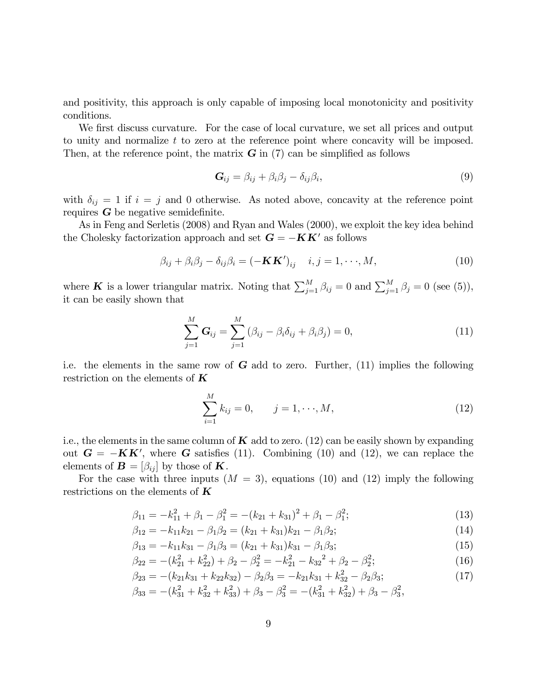and positivity, this approach is only capable of imposing local monotonicity and positivity conditions.

We first discuss curvature. For the case of local curvature, we set all prices and output to unity and normalize t to zero at the reference point where concavity will be imposed. Then, at the reference point, the matrix  $\bf{G}$  in (7) can be simplified as follows

$$
\mathbf{G}_{ij} = \beta_{ij} + \beta_i \beta_j - \delta_{ij} \beta_i, \tag{9}
$$

with  $\delta_{ij} = 1$  if  $i = j$  and 0 otherwise. As noted above, concavity at the reference point requires  $G$  be negative semidefinite.

As in Feng and Serletis (2008) and Ryan and Wales (2000), we exploit the key idea behind the Cholesky factorization approach and set  $G = -KK'$  as follows

$$
\beta_{ij} + \beta_i \beta_j - \delta_{ij} \beta_i = (-\mathbf{K} \mathbf{K}')_{ij} \quad i, j = 1, \cdots, M,
$$
\n(10)

where **K** is a lower triangular matrix. Noting that  $\sum_{j=1}^{M} \beta_{ij} = 0$  and  $\sum_{j=1}^{M} \beta_j = 0$  (see (5)), it can be easily shown that

$$
\sum_{j=1}^{M} G_{ij} = \sum_{j=1}^{M} (\beta_{ij} - \beta_i \delta_{ij} + \beta_i \beta_j) = 0,
$$
\n(11)

i.e. the elements in the same row of  $\bf{G}$  add to zero. Further, (11) implies the following restriction on the elements of  $\boldsymbol{K}$ 

$$
\sum_{i=1}^{M} k_{ij} = 0, \qquad j = 1, \cdots, M,
$$
\n(12)

i.e., the elements in the same column of  $K$  add to zero. (12) can be easily shown by expanding out  $G = -KK'$ , where G satisfies (11). Combining (10) and (12), we can replace the elements of  $\mathbf{B} = [\beta_{ij}]$  by those of  $\mathbf{K}$ .

For the case with three inputs  $(M = 3)$ , equations (10) and (12) imply the following restrictions on the elements of  $\boldsymbol{K}$ 

$$
\beta_{11} = -k_{11}^2 + \beta_1 - \beta_1^2 = -(k_{21} + k_{31})^2 + \beta_1 - \beta_1^2; \tag{13}
$$

$$
\beta_{12} = -k_{11}k_{21} - \beta_1\beta_2 = (k_{21} + k_{31})k_{21} - \beta_1\beta_2; \tag{14}
$$

$$
\beta_{13} = -k_{11}k_{31} - \beta_1\beta_3 = (k_{21} + k_{31})k_{31} - \beta_1\beta_3; \tag{15}
$$

$$
\beta_{22} = -(k_{21}^2 + k_{22}^2) + \beta_2 - \beta_2^2 = -k_{21}^2 - k_{32}^2 + \beta_2 - \beta_2^2; \n\beta_{11} = (k_1 + k_2 + k_3) - \beta_1 \beta_1 = (k_1 + k_2 + k_3^2) - \beta_1 \beta_2; \n(16)
$$

$$
\beta_{23} = -(k_{21}k_{31} + k_{22}k_{32}) - \beta_2\beta_3 = -k_{21}k_{31} + k_{32}^2 - \beta_2\beta_3; \n\beta_{33} = -(k_{31}^2 + k_{32}^2 + k_{33}^2) + \beta_3 - \beta_3^2 = -(k_{31}^2 + k_{32}^2) + \beta_3 - \beta_3^2,
$$
\n(17)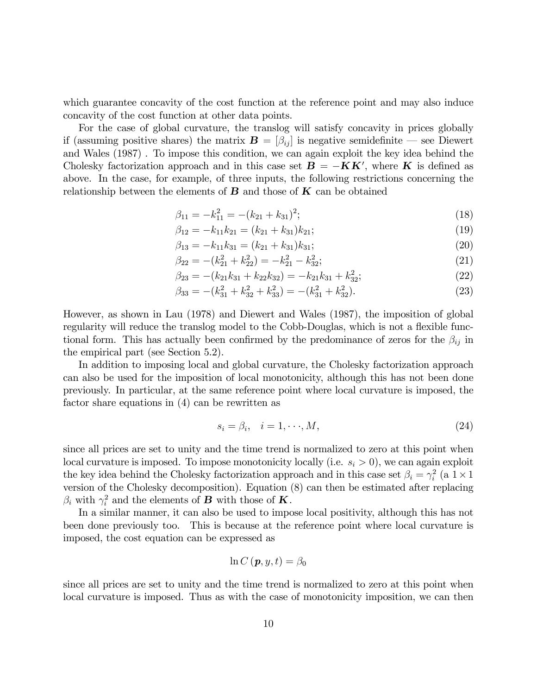which guarantee concavity of the cost function at the reference point and may also induce concavity of the cost function at other data points.

For the case of global curvature, the translog will satisfy concavity in prices globally if (assuming positive shares) the matrix  $\mathbf{B} = [\beta_{ij}]$  is negative semidefinite – see Diewert and Wales (1987) . To impose this condition, we can again exploit the key idea behind the Cholesky factorization approach and in this case set  $\mathbf{B} = -\mathbf{K}\mathbf{K}'$ , where  $\mathbf{K}$  is defined as above. In the case, for example, of three inputs, the following restrictions concerning the relationship between the elements of  $\bf{B}$  and those of  $\bf{K}$  can be obtained

$$
\beta_{11} = -k_{11}^2 = -(k_{21} + k_{31})^2; \tag{18}
$$

$$
\beta_{12} = -k_{11}k_{21} = (k_{21} + k_{31})k_{21};\tag{19}
$$

$$
\beta_{13} = -k_{11}k_{31} = (k_{21} + k_{31})k_{31};\tag{20}
$$

$$
\beta_{22} = -(k_{21}^2 + k_{22}^2) = -k_{21}^2 - k_{32}^2; \tag{21}
$$

$$
\beta_{23} = -(k_{21}k_{31} + k_{22}k_{32}) = -k_{21}k_{31} + k_{32}^2; \tag{22}
$$

$$
\beta_{33} = -(k_{31}^2 + k_{32}^2 + k_{33}^2) = -(k_{31}^2 + k_{32}^2). \tag{23}
$$

However, as shown in Lau (1978) and Diewert and Wales (1987), the imposition of global regularity will reduce the translog model to the Cobb-Douglas, which is not a flexible functional form. This has actually been confirmed by the predominance of zeros for the  $\beta_{ij}$  in the empirical part (see Section 5.2).

In addition to imposing local and global curvature, the Cholesky factorization approach can also be used for the imposition of local monotonicity, although this has not been done previously. In particular, at the same reference point where local curvature is imposed, the factor share equations in (4) can be rewritten as

$$
s_i = \beta_i, \quad i = 1, \cdots, M,\tag{24}
$$

since all prices are set to unity and the time trend is normalized to zero at this point when local curvature is imposed. To impose monotonicity locally (i.e.  $s_i > 0$ ), we can again exploit the key idea behind the Cholesky factorization approach and in this case set  $\beta_i = \gamma_i^2$  (a  $1 \times 1$ ) version of the Cholesky decomposition). Equation (8) can then be estimated after replacing  $\beta_i$  with  $\gamma_i^2$  and the elements of **B** with those of **K**.

In a similar manner, it can also be used to impose local positivity, although this has not been done previously too. This is because at the reference point where local curvature is imposed, the cost equation can be expressed as

$$
\ln C\left(\boldsymbol{p},y,t\right)=\beta_{0}
$$

since all prices are set to unity and the time trend is normalized to zero at this point when local curvature is imposed. Thus as with the case of monotonicity imposition, we can then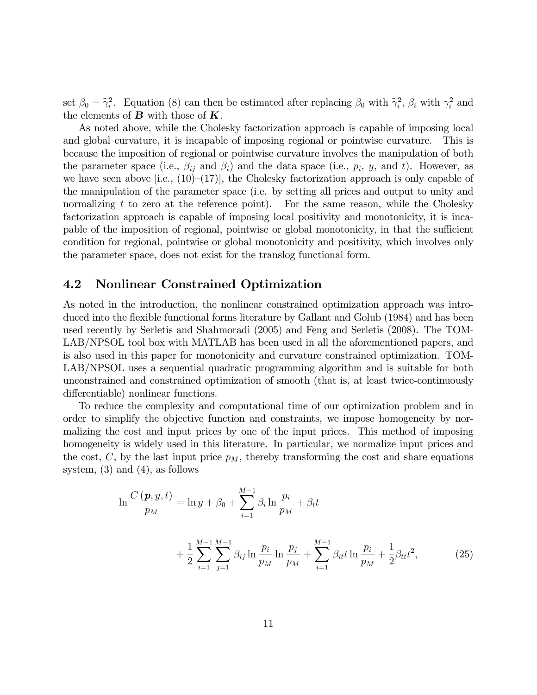set  $\beta_0 = \tilde{\gamma}_i^2$ . Equation (8) can then be estimated after replacing  $\beta_0$  with  $\tilde{\gamma}_i^2$ ,  $\beta_i$  with  $\gamma_i^2$  and the elements of  $B$  with those of  $K$ .

As noted above, while the Cholesky factorization approach is capable of imposing local and global curvature, it is incapable of imposing regional or pointwise curvature. This is because the imposition of regional or pointwise curvature involves the manipulation of both the parameter space (i.e.,  $\beta_{ij}$  and  $\beta_i$ ) and the data space (i.e.,  $p_i$ ,  $y$ , and  $t$ ). However, as we have seen above [i.e.,  $(10)–(17)$ ], the Cholesky factorization approach is only capable of the manipulation of the parameter space (i.e. by setting all prices and output to unity and normalizing  $t$  to zero at the reference point). For the same reason, while the Cholesky factorization approach is capable of imposing local positivity and monotonicity, it is incapable of the imposition of regional, pointwise or global monotonicity, in that the sufficient condition for regional, pointwise or global monotonicity and positivity, which involves only the parameter space, does not exist for the translog functional form.

### 4.2 Nonlinear Constrained Optimization

As noted in the introduction, the nonlinear constrained optimization approach was introduced into the flexible functional forms literature by Gallant and Golub (1984) and has been used recently by Serletis and Shahmoradi (2005) and Feng and Serletis (2008). The TOM-LAB/NPSOL tool box with MATLAB has been used in all the aforementioned papers, and is also used in this paper for monotonicity and curvature constrained optimization. TOM-LAB/NPSOL uses a sequential quadratic programming algorithm and is suitable for both unconstrained and constrained optimization of smooth (that is, at least twice-continuously differentiable) nonlinear functions.

To reduce the complexity and computational time of our optimization problem and in order to simplify the objective function and constraints, we impose homogeneity by normalizing the cost and input prices by one of the input prices. This method of imposing homogeneity is widely used in this literature. In particular, we normalize input prices and the cost,  $C$ , by the last input price  $p_M$ , thereby transforming the cost and share equations system,  $(3)$  and  $(4)$ , as follows

$$
\ln \frac{C(p, y, t)}{p_M} = \ln y + \beta_0 + \sum_{i=1}^{M-1} \beta_i \ln \frac{p_i}{p_M} + \beta_t t + \frac{1}{2} \sum_{i=1}^{M-1} \sum_{j=1}^{M-1} \beta_{ij} \ln \frac{p_i}{p_M} \ln \frac{p_j}{p_M} + \sum_{i=1}^{M-1} \beta_{it} t \ln \frac{p_i}{p_M} + \frac{1}{2} \beta_{tt} t^2,
$$
 (25)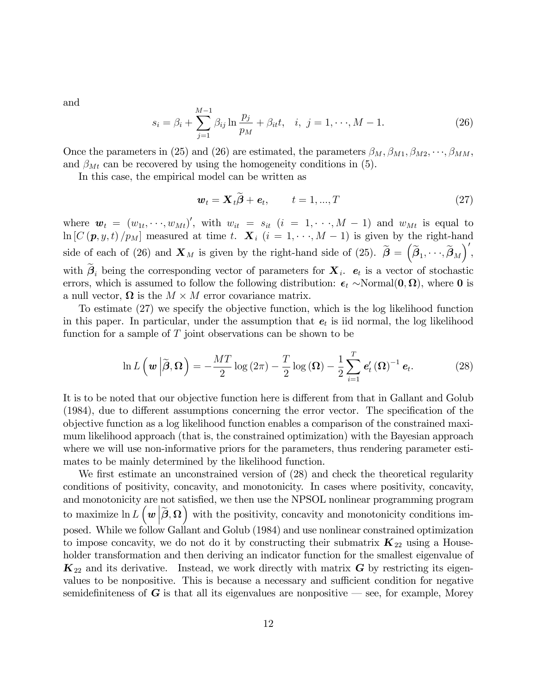and

$$
s_i = \beta_i + \sum_{j=1}^{M-1} \beta_{ij} \ln \frac{p_j}{p_M} + \beta_{it}t, \quad i, j = 1, \cdots, M-1.
$$
 (26)

Once the parameters in (25) and (26) are estimated, the parameters  $\beta_M, \beta_{M1}, \beta_{M2}, \cdots, \beta_{MM}$ and  $\beta_{Mt}$  can be recovered by using the homogeneity conditions in (5).

In this case, the empirical model can be written as

$$
\mathbf{w}_t = \mathbf{X}_t \boldsymbol{\beta} + \mathbf{e}_t, \qquad t = 1, ..., T \tag{27}
$$

where  $\mathbf{w}_t = (w_{1t}, \dots, w_{Mt})'$ , with  $w_{it} = s_{it}$   $(i = 1, \dots, M - 1)$  and  $w_{Mt}$  is equal to  $\ln [C(\mathbf{p}, y, t)/p_M]$  measured at time t.  $\mathbf{X}_i$   $(i = 1, \dots, M - 1)$  is given by the right-hand side of each of (26) and  $\boldsymbol{X}_M$  is given by the right-hand side of (25).  $\widetilde{\boldsymbol{\beta}} = (\widetilde{\boldsymbol{\beta}}_1, \dots, \widetilde{\boldsymbol{\beta}}_M)'$ , with  $\beta_i$  being the corresponding vector of parameters for  $\mathbf{X}_i$ .  $e_t$  is a vector of stochastic errors, which is assumed to follow the following distribution:  $\epsilon_t \sim \text{Normal}(0, \Omega)$ , where 0 is a null vector,  $\Omega$  is the  $M \times M$  error covariance matrix.

To estimate (27) we specify the objective function, which is the log likelihood function in this paper. In particular, under the assumption that  $e_t$  is iid normal, the log likelihood function for a sample of  $T$  joint observations can be shown to be

$$
\ln L\left(\boldsymbol{w}\left|\widetilde{\boldsymbol{\beta}},\boldsymbol{\Omega}\right.\right)=-\frac{MT}{2}\log\left(2\pi\right)-\frac{T}{2}\log\left(\boldsymbol{\Omega}\right)-\frac{1}{2}\sum_{i=1}^{T}\boldsymbol{e}'_t\left(\boldsymbol{\Omega}\right)^{-1}\boldsymbol{e}_t.
$$
\n(28)

It is to be noted that our objective function here is different from that in Gallant and Golub  $(1984)$ , due to different assumptions concerning the error vector. The specification of the objective function as a log likelihood function enables a comparison of the constrained maximum likelihood approach (that is, the constrained optimization) with the Bayesian approach where we will use non-informative priors for the parameters, thus rendering parameter estimates to be mainly determined by the likelihood function.

We first estimate an unconstrained version of  $(28)$  and check the theoretical regularity conditions of positivity, concavity, and monotonicity. In cases where positivity, concavity, and monotonicity are not satisfied, we then use the NPSOL nonlinear programming program to maximize  $\ln L\left(\boldsymbol{w}\left|\widetilde{\boldsymbol{\beta}},\boldsymbol{\Omega}\right.\right)$  with the positivity, concavity and monotonicity conditions imposed. While we follow Gallant and Golub (1984) and use nonlinear constrained optimization to impose concavity, we do not do it by constructing their submatrix  $K_{22}$  using a Householder transformation and then deriving an indicator function for the smallest eigenvalue of  $K_{22}$  and its derivative. Instead, we work directly with matrix G by restricting its eigenvalues to be nonpositive. This is because a necessary and sufficient condition for negative semidefiniteness of  $G$  is that all its eigenvalues are nonpositive – see, for example, Morey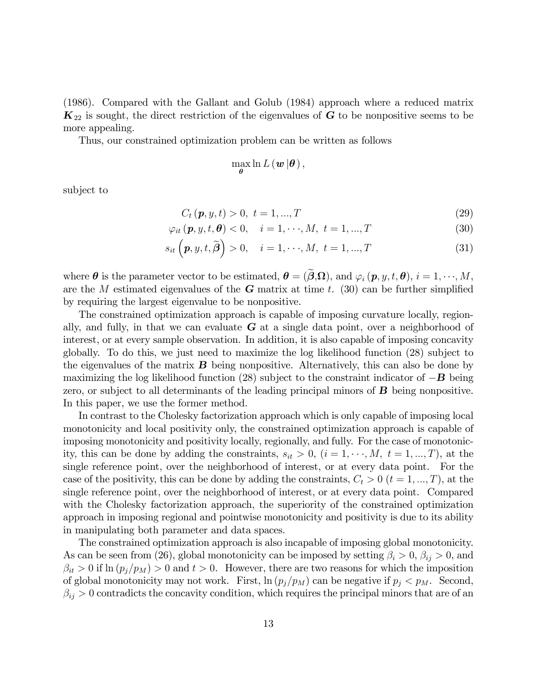(1986). Compared with the Gallant and Golub (1984) approach where a reduced matrix  $K_{22}$  is sought, the direct restriction of the eigenvalues of  $G$  to be nonpositive seems to be more appealing.

Thus, our constrained optimization problem can be written as follows

$$
\max_{\boldsymbol{\theta}}\ln L(\boldsymbol{w}|\boldsymbol{\theta}),
$$

subject to

$$
C_t(p, y, t) > 0, \ t = 1, ..., T
$$
\n(29)

$$
\varphi_{it}(\boldsymbol{p}, y, t, \boldsymbol{\theta}) < 0, \quad i = 1, \cdots, M, \ t = 1, \ldots, T \tag{30}
$$

$$
s_{it}\left(\boldsymbol{p},y,t,\widetilde{\boldsymbol{\beta}}\right)>0,\quad i=1,\cdots,M,\ t=1,...,T
$$
\n(31)

where  $\boldsymbol{\theta}$  is the parameter vector to be estimated,  $\boldsymbol{\theta} = (\boldsymbol{\beta}, \boldsymbol{\Omega})$ , and  $\varphi_i(\boldsymbol{p}, y, t, \boldsymbol{\theta})$ ,  $i = 1, \dots, M$ , are the M estimated eigenvalues of the **G** matrix at time t. (30) can be further simplified by requiring the largest eigenvalue to be nonpositive.

The constrained optimization approach is capable of imposing curvature locally, regionally, and fully, in that we can evaluate  $G$  at a single data point, over a neighborhood of interest, or at every sample observation. In addition, it is also capable of imposing concavity globally. To do this, we just need to maximize the log likelihood function (28) subject to the eigenvalues of the matrix  $\bf{B}$  being nonpositive. Alternatively, this can also be done by maximizing the log likelihood function (28) subject to the constraint indicator of  $-\mathbf{B}$  being zero, or subject to all determinants of the leading principal minors of **B** being nonpositive. In this paper, we use the former method.

In contrast to the Cholesky factorization approach which is only capable of imposing local monotonicity and local positivity only, the constrained optimization approach is capable of imposing monotonicity and positivity locally, regionally, and fully. For the case of monotonicity, this can be done by adding the constraints,  $s_{it} > 0$ ,  $(i = 1, \dots, M, t = 1, ..., T)$ , at the single reference point, over the neighborhood of interest, or at every data point. For the case of the positivity, this can be done by adding the constraints,  $C_t > 0$   $(t = 1, ..., T)$ , at the single reference point, over the neighborhood of interest, or at every data point. Compared with the Cholesky factorization approach, the superiority of the constrained optimization approach in imposing regional and pointwise monotonicity and positivity is due to its ability in manipulating both parameter and data spaces.

The constrained optimization approach is also incapable of imposing global monotonicity. As can be seen from (26), global monotonicity can be imposed by setting  $\beta_i > 0$ ,  $\beta_{ij} > 0$ , and  $\beta_{it} > 0$  if  $\ln (p_j/p_M) > 0$  and  $t > 0$ . However, there are two reasons for which the imposition of global monotonicity may not work. First,  $\ln (p_j/p_M)$  can be negative if  $p_j < p_M$ . Second,  $\beta_{ij} > 0$  contradicts the concavity condition, which requires the principal minors that are of an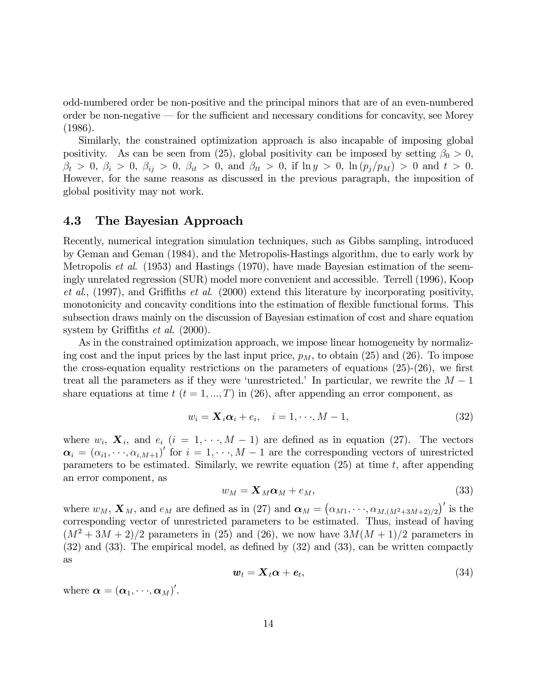odd-numbered order be non-positive and the principal minors that are of an even-numbered order be non-negative  $\sim$  for the sufficient and necessary conditions for concavity, see Morey (1986).

Similarly, the constrained optimization approach is also incapable of imposing global positivity. As can be seen from (25), global positivity can be imposed by setting  $\beta_0 > 0$ ,  $\beta_t > 0, \ \beta_i > 0, \ \beta_{ij} > 0, \ \beta_{it} > 0, \ \text{and} \ \beta_{tt} > 0, \ \text{if} \ \ln y > 0, \ \ln (p_j/p_M) > 0 \ \text{and} \ t > 0.$ However, for the same reasons as discussed in the previous paragraph, the imposition of global positivity may not work.

### 4.3 The Bayesian Approach

Recently, numerical integration simulation techniques, such as Gibbs sampling, introduced by Geman and Geman (1984), and the Metropolis-Hastings algorithm, due to early work by Metropolis et al. (1953) and Hastings (1970), have made Bayesian estimation of the seemingly unrelated regression (SUR) model more convenient and accessible. Terrell (1996), Koop et al.,  $(1997)$ , and Griffiths et al.  $(2000)$  extend this literature by incorporating positivity, monotonicity and concavity conditions into the estimation of flexible functional forms. This subsection draws mainly on the discussion of Bayesian estimation of cost and share equation system by Griffiths *et al.*  $(2000)$ .

As in the constrained optimization approach, we impose linear homogeneity by normalizing cost and the input prices by the last input price,  $p_M$ , to obtain (25) and (26). To impose the cross-equation equality restrictions on the parameters of equations  $(25)-(26)$ , we first treat all the parameters as if they were 'unrestricted.' In particular, we rewrite the  $M-1$ share equations at time  $t$   $(t = 1, ..., T)$  in (26), after appending an error component, as

$$
w_i = \mathbf{X}_i \alpha_i + e_i, \quad i = 1, \cdots, M - 1,
$$
\n
$$
(32)
$$

where  $w_i$ ,  $\mathbf{X}_i$ , and  $e_i$   $(i = 1, \dots, M - 1)$  are defined as in equation (27). The vectors  $\boldsymbol{\alpha}_i = (\alpha_{i1}, \dots, \alpha_{i,M+1})'$  for  $i = 1, \dots, M-1$  are the corresponding vectors of unrestricted parameters to be estimated. Similarly, we rewrite equation  $(25)$  at time t, after appending an error component, as

$$
w_M = \mathbf{X}_M \boldsymbol{\alpha}_M + e_M, \tag{33}
$$

where  $w_M$ ,  $\mathbf{X}_M$ , and  $e_M$  are defined as in (27) and  $\boldsymbol{\alpha}_M = (\alpha_{M1}, \cdots, \alpha_{M,(M^2+3M+2)/2})'$  is the corresponding vector of unrestricted parameters to be estimated. Thus, instead of having  $(M^2 + 3M + 2)/2$  parameters in (25) and (26), we now have  $3M(M + 1)/2$  parameters in  $(32)$  and  $(33)$ . The empirical model, as defined by  $(32)$  and  $(33)$ , can be written compactly as

$$
\mathbf{w}_t = \mathbf{X}_t \boldsymbol{\alpha} + \boldsymbol{e}_t, \tag{34}
$$

where  $\boldsymbol{\alpha} = (\boldsymbol{\alpha}_1, \cdots, \boldsymbol{\alpha}_M)'$ .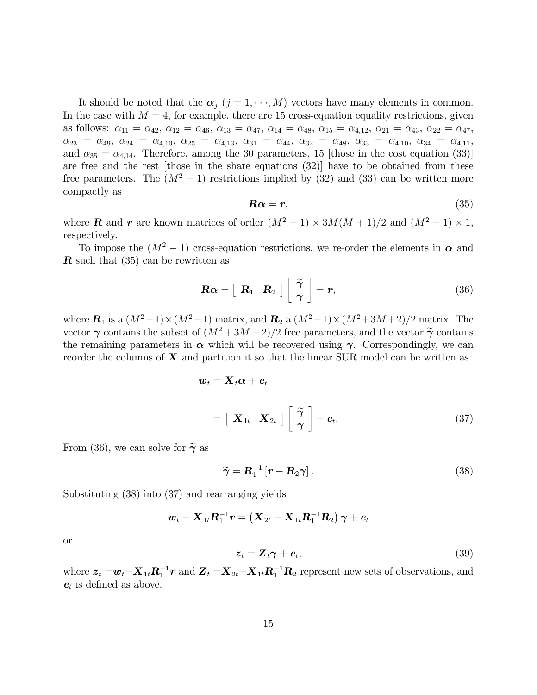It should be noted that the  $\alpha_i$  (j = 1,  $\cdots$ , M) vectors have many elements in common. In the case with  $M = 4$ , for example, there are 15 cross-equation equality restrictions, given as follows:  $\alpha_{11} = \alpha_{42}, \alpha_{12} = \alpha_{46}, \alpha_{13} = \alpha_{47}, \alpha_{14} = \alpha_{48}, \alpha_{15} = \alpha_{4,12}, \alpha_{21} = \alpha_{43}, \alpha_{22} = \alpha_{47}$  $\alpha_{23} = \alpha_{49}, \ \alpha_{24} = \alpha_{4,10}, \ \alpha_{25} = \alpha_{4,13}, \ \alpha_{31} = \alpha_{44}, \ \alpha_{32} = \alpha_{48}, \ \alpha_{33} = \alpha_{4,10}, \ \alpha_{34} = \alpha_{4,11},$ and  $\alpha_{35} = \alpha_{4,14}$ . Therefore, among the 30 parameters, 15 [those in the cost equation (33)] are free and the rest [those in the share equations (32)] have to be obtained from these free parameters. The  $(M^2 - 1)$  restrictions implied by (32) and (33) can be written more compactly as

$$
\mathbf{R}\alpha = \mathbf{r},\tag{35}
$$

where **R** and **r** are known matrices of order  $(M^2 - 1) \times 3M(M + 1)/2$  and  $(M^2 - 1) \times 1$ , respectively.

To impose the  $(M^2 - 1)$  cross-equation restrictions, we re-order the elements in  $\alpha$  and **R** such that  $(35)$  can be rewritten as

$$
\boldsymbol{R}\boldsymbol{\alpha} = \begin{bmatrix} \boldsymbol{R}_1 & \boldsymbol{R}_2 \end{bmatrix} \begin{bmatrix} \widetilde{\boldsymbol{\gamma}} \\ \boldsymbol{\gamma} \end{bmatrix} = \boldsymbol{r}, \qquad (36)
$$

where  $\mathbf{R}_1$  is a  $(M^2-1)\times(M^2-1)$  matrix, and  $\mathbf{R}_2$  a  $(M^2-1)\times(M^2+3M+2)/2$  matrix. The vector  $\gamma$  contains the subset of  $(M^2 + 3M + 2)/2$  free parameters, and the vector  $\tilde{\gamma}$  contains the remaining parameters in  $\alpha$  which will be recovered using  $\gamma$ . Correspondingly, we can reorder the columns of  $X$  and partition it so that the linear SUR model can be written as

$$
\boldsymbol{w}_t = \boldsymbol{X}_t \boldsymbol{\alpha} + \boldsymbol{e}_t
$$

$$
= \left[ \begin{array}{cc} \mathbf{X}_{1t} & \mathbf{X}_{2t} \end{array} \right] \left[ \begin{array}{c} \widetilde{\gamma} \\ \gamma \end{array} \right] + \boldsymbol{e}_t. \tag{37}
$$

From (36), we can solve for  $\tilde{\gamma}$  as

$$
\widetilde{\boldsymbol{\gamma}} = \mathbf{R}_1^{-1} \left[ \mathbf{r} - \mathbf{R}_2 \boldsymbol{\gamma} \right]. \tag{38}
$$

Substituting (38) into (37) and rearranging yields

$$
\boldsymbol{w}_{t}-\boldsymbol{X}_{1t}\boldsymbol{R}_{1}^{-1}\boldsymbol{r}=\left(\boldsymbol{X}_{2t}-\boldsymbol{X}_{1t}\boldsymbol{R}_{1}^{-1}\boldsymbol{R}_{2}\right)\boldsymbol{\gamma}+\boldsymbol{e}_{t}
$$

or

$$
\boldsymbol{z}_t = \boldsymbol{Z}_t \boldsymbol{\gamma} + \boldsymbol{e}_t,\tag{39}
$$

where  $z_t = w_t - X_{1t}R_1^{-1}r$  and  $Z_t = X_{2t} - X_{1t}R_1^{-1}R_2$  represent new sets of observations, and  $e_t$  is defined as above.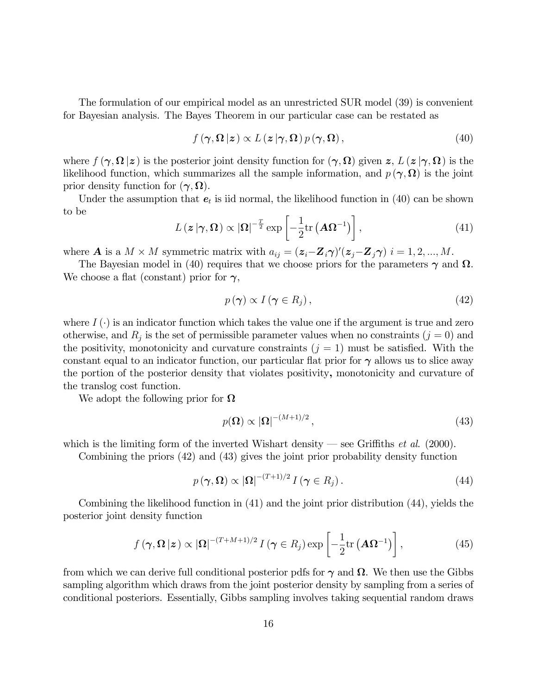The formulation of our empirical model as an unrestricted SUR model (39) is convenient for Bayesian analysis. The Bayes Theorem in our particular case can be restated as

$$
f(\gamma, \Omega | z) \propto L(z | \gamma, \Omega) p(\gamma, \Omega), \qquad (40)
$$

where  $f(\gamma, \Omega | z)$  is the posterior joint density function for  $(\gamma, \Omega)$  given  $z, L(z | \gamma, \Omega)$  is the likelihood function, which summarizes all the sample information, and  $p(\gamma, \Omega)$  is the joint prior density function for  $(\gamma, \Omega)$ .

Under the assumption that  $e_t$  is iid normal, the likelihood function in (40) can be shown to be

$$
L(z|\gamma,\Omega) \propto |\Omega|^{-\frac{T}{2}} \exp\left[-\frac{1}{2}\text{tr}\left(\mathbf{A}\Omega^{-1}\right)\right],\tag{41}
$$

where **A** is a  $M \times M$  symmetric matrix with  $a_{ij} = (\mathbf{z}_i - \mathbf{Z}_i \boldsymbol{\gamma})' (\mathbf{z}_j - \mathbf{Z}_j \boldsymbol{\gamma})$   $i = 1, 2, ..., M$ .

The Bayesian model in (40) requires that we choose priors for the parameters  $\gamma$  and  $\Omega$ . We choose a flat (constant) prior for  $\gamma$ ,

$$
p(\gamma) \propto I(\gamma \in R_j), \qquad (42)
$$

where  $I(\cdot)$  is an indicator function which takes the value one if the argument is true and zero otherwise, and  $R_j$  is the set of permissible parameter values when no constraints  $(j = 0)$  and the positivity, monotonicity and curvature constraints  $(j = 1)$  must be satisfied. With the constant equal to an indicator function, our particular flat prior for  $\gamma$  allows us to slice away the portion of the posterior density that violates positivity, monotonicity and curvature of the translog cost function.

We adopt the following prior for  $\Omega$ 

$$
p(\Omega) \propto |\Omega|^{-(M+1)/2},\tag{43}
$$

which is the limiting form of the inverted Wishart density  $\sim$  see Griffiths *et al.* (2000).

Combining the priors (42) and (43) gives the joint prior probability density function

$$
p(\boldsymbol{\gamma}, \boldsymbol{\Omega}) \propto |\boldsymbol{\Omega}|^{-(T+1)/2} \, I(\boldsymbol{\gamma} \in R_j) \,. \tag{44}
$$

Combining the likelihood function in (41) and the joint prior distribution (44), yields the posterior joint density function

$$
f(\boldsymbol{\gamma},\boldsymbol{\Omega}\,|\,\boldsymbol{z})\propto|\boldsymbol{\Omega}|^{-(T+M+1)/2}\,I(\boldsymbol{\gamma}\in R_j)\exp\left[-\frac{1}{2}\mathrm{tr}\left(\mathbf{A}\boldsymbol{\Omega}^{-1}\right)\right],\tag{45}
$$

from which we can derive full conditional posterior pdfs for  $\gamma$  and  $\Omega$ . We then use the Gibbs sampling algorithm which draws from the joint posterior density by sampling from a series of conditional posteriors. Essentially, Gibbs sampling involves taking sequential random draws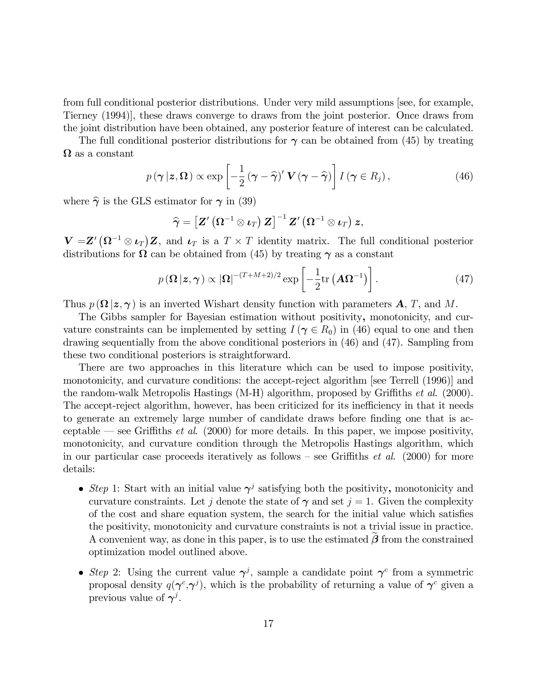from full conditional posterior distributions. Under very mild assumptions [see, for example, Tierney (1994)], these draws converge to draws from the joint posterior. Once draws from the joint distribution have been obtained, any posterior feature of interest can be calculated.

The full conditional posterior distributions for  $\gamma$  can be obtained from (45) by treating  $\Omega$  as a constant

$$
p(\boldsymbol{\gamma}|\boldsymbol{z},\boldsymbol{\Omega}) \propto \exp\left[-\frac{1}{2}(\boldsymbol{\gamma}-\boldsymbol{\hat{\gamma}})' \,\mathbf{V}(\boldsymbol{\gamma}-\boldsymbol{\hat{\gamma}})\right] I(\boldsymbol{\gamma}\in R_j),\tag{46}
$$

where  $\hat{\gamma}$  is the GLS estimator for  $\gamma$  in (39)

$$
\widehat{\boldsymbol{\gamma}}=\left[\mathbf{Z}^\prime\left(\mathbf{\Omega}^{-1}\otimes\boldsymbol{\iota}_T\right)\mathbf{Z}\right]^{-1}\mathbf{Z}^\prime\left(\mathbf{\Omega}^{-1}\otimes\boldsymbol{\iota}_T\right)\boldsymbol{z},
$$

 $V = Z'(\Omega^{-1} \otimes \iota_T)Z$ , and  $\iota_T$  is a  $T \times T$  identity matrix. The full conditional posterior distributions for  $\Omega$  can be obtained from (45) by treating  $\gamma$  as a constant

$$
p\left(\mathbf{\Omega}\,|\,\mathbf{z},\boldsymbol{\gamma}\right) \propto |\mathbf{\Omega}|^{-(T+M+2)/2} \exp\left[-\frac{1}{2}\mathrm{tr}\left(\mathbf{A}\mathbf{\Omega}^{-1}\right)\right].\tag{47}
$$

Thus  $p(\mathbf{\Omega} | \mathbf{z}, \boldsymbol{\gamma})$  is an inverted Wishart density function with parameters  $\mathbf{A}, T$ , and  $M$ .

The Gibbs sampler for Bayesian estimation without positivity, monotonicity, and curvature constraints can be implemented by setting  $I(\gamma \in R_0)$  in (46) equal to one and then drawing sequentially from the above conditional posteriors in (46) and (47). Sampling from these two conditional posteriors is straightforward.

There are two approaches in this literature which can be used to impose positivity, monotonicity, and curvature conditions: the accept-reject algorithm [see Terrell (1996)] and the random-walk Metropolis Hastings  $(M-H)$  algorithm, proposed by Griffiths *et al.* (2000). The accept-reject algorithm, however, has been criticized for its inefficiency in that it needs to generate an extremely large number of candidate draws before finding one that is acceptable – see Griffiths *et al.* (2000) for more details. In this paper, we impose positivity, monotonicity, and curvature condition through the Metropolis Hastings algorithm, which in our particular case proceeds iteratively as follows  $\sim$  see Griffiths *et al.* (2000) for more details:

- Step 1: Start with an initial value  $\gamma^j$  satisfying both the positivity, monotonicity and curvature constraints. Let j denote the state of  $\gamma$  and set j = 1. Given the complexity of the cost and share equation system, the search for the initial value which satisfies the positivity, monotonicity and curvature constraints is not a trivial issue in practice. A convenient way, as done in this paper, is to use the estimated  $\beta$  from the constrained optimization model outlined above.
- Step 2: Using the current value  $\gamma^j$ , sample a candidate point  $\gamma^c$  from a symmetric proposal density  $q(\gamma^c, \gamma^j)$ , which is the probability of returning a value of  $\gamma^c$  given a previous value of  $\gamma^j$ .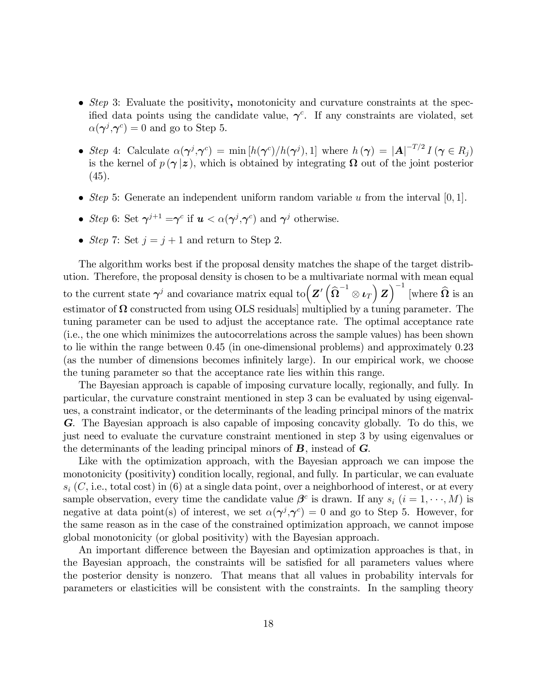- $\bullet$  *Step* 3: Evaluate the positivity, monotonicity and curvature constraints at the specified data points using the candidate value,  $\gamma^c$ . If any constraints are violated, set  $\alpha(\boldsymbol{\gamma}^j, \boldsymbol{\gamma}^c) = 0$  and go to Step 5.
- Step 4: Calculate  $\alpha(\gamma^j, \gamma^c) = \min[h(\gamma^c)/h(\gamma^j), 1]$  where  $h(\gamma) = |A|^{-T/2} I(\gamma \in R_j)$ is the kernel of  $p(\gamma | z)$ , which is obtained by integrating  $\Omega$  out of the joint posterior (45).
- Step 5: Generate an independent uniform random variable  $u$  from the interval  $[0, 1]$ .
- Step 6: Set  $\gamma^{j+1} = \gamma^c$  if  $u < \alpha(\gamma^j, \gamma^c)$  and  $\gamma^j$  otherwise.
- Step 7: Set  $j = j + 1$  and return to Step 2.

The algorithm works best if the proposal density matches the shape of the target distribution. Therefore, the proposal density is chosen to be a multivariate normal with mean equal to the current state  $\gamma^j$  and covariance matrix equal to  $\left(\boldsymbol{Z}^\prime\right) \widehat{\boldsymbol{\Omega}}$  $^{-1}$  $\otimes \iota_T\Big)\,\mathbf{Z}\Big)^{-1}$  [where  $\widehat{\boldsymbol{\Omega}}$  is an estimator of  $\Omega$  constructed from using OLS residuals] multiplied by a tuning parameter. The tuning parameter can be used to adjust the acceptance rate. The optimal acceptance rate (i.e., the one which minimizes the autocorrelations across the sample values) has been shown to lie within the range between 0.45 (in one-dimensional problems) and approximately 0.23 (as the number of dimensions becomes infinitely large). In our empirical work, we choose the tuning parameter so that the acceptance rate lies within this range.

The Bayesian approach is capable of imposing curvature locally, regionally, and fully. In particular, the curvature constraint mentioned in step 3 can be evaluated by using eigenvalues, a constraint indicator, or the determinants of the leading principal minors of the matrix G. The Bayesian approach is also capable of imposing concavity globally. To do this, we just need to evaluate the curvature constraint mentioned in step 3 by using eigenvalues or the determinants of the leading principal minors of B, instead of G.

Like with the optimization approach, with the Bayesian approach we can impose the monotonicity (positivity) condition locally, regional, and fully. In particular, we can evaluate  $s_i(C, i.e., total cost)$  in (6) at a single data point, over a neighborhood of interest, or at every sample observation, every time the candidate value  $\beta^c$  is drawn. If any  $s_i$   $(i = 1, \dots, M)$  is negative at data point(s) of interest, we set  $\alpha(\gamma^j, \gamma^c) = 0$  and go to Step 5. However, for the same reason as in the case of the constrained optimization approach, we cannot impose global monotonicity (or global positivity) with the Bayesian approach.

An important difference between the Bayesian and optimization approaches is that, in the Bayesian approach, the constraints will be satisfied for all parameters values where the posterior density is nonzero. That means that all values in probability intervals for parameters or elasticities will be consistent with the constraints. In the sampling theory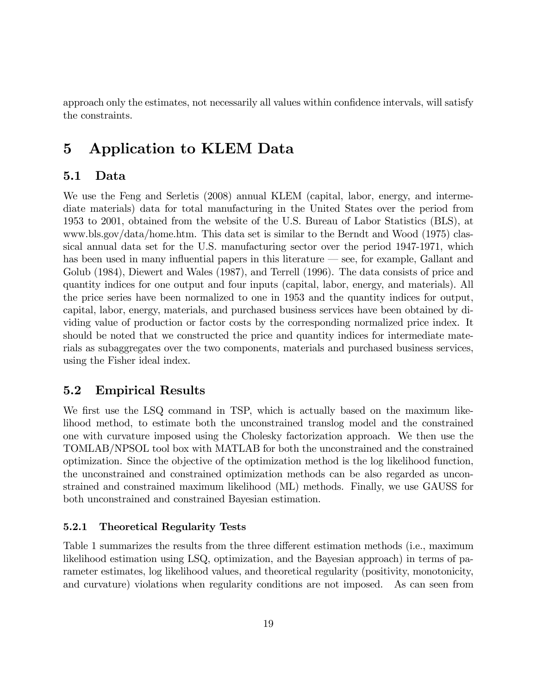approach only the estimates, not necessarily all values within confidence intervals, will satisfy the constraints.

## 5 Application to KLEM Data

### 5.1 Data

We use the Feng and Serletis (2008) annual KLEM (capital, labor, energy, and intermediate materials) data for total manufacturing in the United States over the period from 1953 to 2001, obtained from the website of the U.S. Bureau of Labor Statistics (BLS), at www.bls.gov/data/home.htm. This data set is similar to the Berndt and Wood (1975) classical annual data set for the U.S. manufacturing sector over the period 1947-1971, which has been used in many influential papers in this literature  $\sim$  see, for example, Gallant and Golub (1984), Diewert and Wales (1987), and Terrell (1996). The data consists of price and quantity indices for one output and four inputs (capital, labor, energy, and materials). All the price series have been normalized to one in 1953 and the quantity indices for output, capital, labor, energy, materials, and purchased business services have been obtained by dividing value of production or factor costs by the corresponding normalized price index. It should be noted that we constructed the price and quantity indices for intermediate materials as subaggregates over the two components, materials and purchased business services, using the Fisher ideal index.

### 5.2 Empirical Results

We first use the LSQ command in TSP, which is actually based on the maximum likelihood method, to estimate both the unconstrained translog model and the constrained one with curvature imposed using the Cholesky factorization approach. We then use the TOMLAB/NPSOL tool box with MATLAB for both the unconstrained and the constrained optimization. Since the objective of the optimization method is the log likelihood function, the unconstrained and constrained optimization methods can be also regarded as unconstrained and constrained maximum likelihood (ML) methods. Finally, we use GAUSS for both unconstrained and constrained Bayesian estimation.

#### 5.2.1 Theoretical Regularity Tests

Table 1 summarizes the results from the three different estimation methods (i.e., maximum likelihood estimation using LSQ, optimization, and the Bayesian approach) in terms of parameter estimates, log likelihood values, and theoretical regularity (positivity, monotonicity, and curvature) violations when regularity conditions are not imposed. As can seen from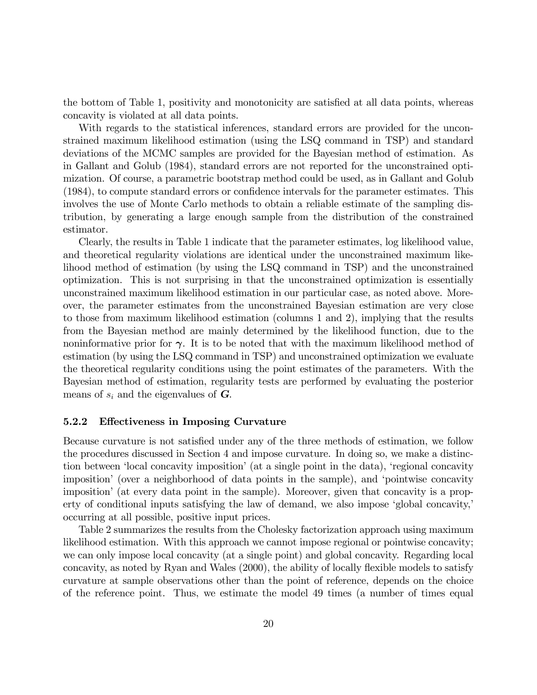the bottom of Table 1, positivity and monotonicity are satisfied at all data points, whereas concavity is violated at all data points.

With regards to the statistical inferences, standard errors are provided for the unconstrained maximum likelihood estimation (using the LSQ command in TSP) and standard deviations of the MCMC samples are provided for the Bayesian method of estimation. As in Gallant and Golub (1984), standard errors are not reported for the unconstrained optimization. Of course, a parametric bootstrap method could be used, as in Gallant and Golub  $(1984)$ , to compute standard errors or confidence intervals for the parameter estimates. This involves the use of Monte Carlo methods to obtain a reliable estimate of the sampling distribution, by generating a large enough sample from the distribution of the constrained estimator.

Clearly, the results in Table 1 indicate that the parameter estimates, log likelihood value, and theoretical regularity violations are identical under the unconstrained maximum likelihood method of estimation (by using the LSQ command in TSP) and the unconstrained optimization. This is not surprising in that the unconstrained optimization is essentially unconstrained maximum likelihood estimation in our particular case, as noted above. Moreover, the parameter estimates from the unconstrained Bayesian estimation are very close to those from maximum likelihood estimation (columns 1 and 2), implying that the results from the Bayesian method are mainly determined by the likelihood function, due to the noninformative prior for  $\gamma$ . It is to be noted that with the maximum likelihood method of estimation (by using the LSQ command in TSP) and unconstrained optimization we evaluate the theoretical regularity conditions using the point estimates of the parameters. With the Bayesian method of estimation, regularity tests are performed by evaluating the posterior means of  $s_i$  and the eigenvalues of  $\boldsymbol{G}$ .

#### 5.2.2 Effectiveness in Imposing Curvature

Because curvature is not satisfied under any of the three methods of estimation, we follow the procedures discussed in Section 4 and impose curvature. In doing so, we make a distinction between 'local concavity imposition' (at a single point in the data), 'regional concavity imposition' (over a neighborhood of data points in the sample), and 'pointwise concavity imposition' (at every data point in the sample). Moreover, given that concavity is a property of conditional inputs satisfying the law of demand, we also impose 'global concavity, occurring at all possible, positive input prices.

Table 2 summarizes the results from the Cholesky factorization approach using maximum likelihood estimation. With this approach we cannot impose regional or pointwise concavity; we can only impose local concavity (at a single point) and global concavity. Regarding local concavity, as noted by Ryan and Wales  $(2000)$ , the ability of locally flexible models to satisfy curvature at sample observations other than the point of reference, depends on the choice of the reference point. Thus, we estimate the model 49 times (a number of times equal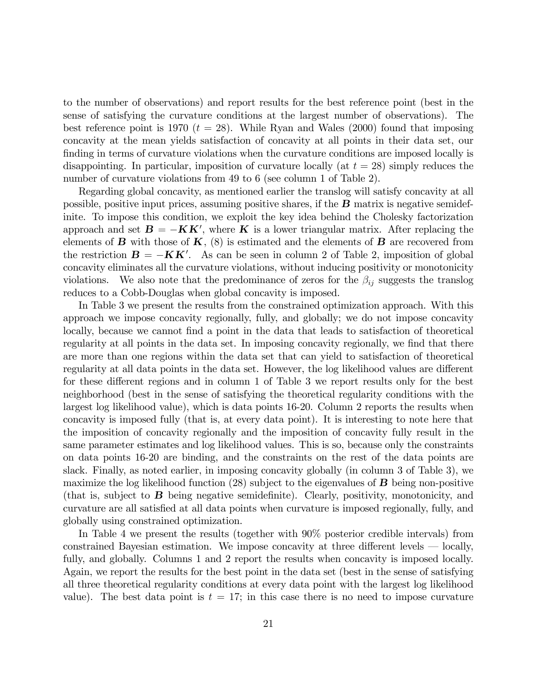to the number of observations) and report results for the best reference point (best in the sense of satisfying the curvature conditions at the largest number of observations). The best reference point is 1970 ( $t = 28$ ). While Ryan and Wales (2000) found that imposing concavity at the mean yields satisfaction of concavity at all points in their data set, our finding in terms of curvature violations when the curvature conditions are imposed locally is disappointing. In particular, imposition of curvature locally (at  $t = 28$ ) simply reduces the number of curvature violations from 49 to 6 (see column 1 of Table 2).

Regarding global concavity, as mentioned earlier the translog will satisfy concavity at all possible, positive input prices, assuming positive shares, if the  $B$  matrix is negative semidefinite. To impose this condition, we exploit the key idea behind the Cholesky factorization approach and set  $\mathbf{B} = -\mathbf{K}\mathbf{K}'$ , where **K** is a lower triangular matrix. After replacing the elements of **B** with those of  $\mathbf{K}$ , (8) is estimated and the elements of **B** are recovered from the restriction  $\mathbf{B} = -\mathbf{K}\mathbf{K}'$ . As can be seen in column 2 of Table 2, imposition of global concavity eliminates all the curvature violations, without inducing positivity or monotonicity violations. We also note that the predominance of zeros for the  $\beta_{ij}$  suggests the translog reduces to a Cobb-Douglas when global concavity is imposed.

In Table 3 we present the results from the constrained optimization approach. With this approach we impose concavity regionally, fully, and globally; we do not impose concavity locally, because we cannot find a point in the data that leads to satisfaction of theoretical regularity at all points in the data set. In imposing concavity regionally, we find that there are more than one regions within the data set that can yield to satisfaction of theoretical regularity at all data points in the data set. However, the log likelihood values are different for these different regions and in column 1 of Table 3 we report results only for the best neighborhood (best in the sense of satisfying the theoretical regularity conditions with the largest log likelihood value), which is data points 16-20. Column 2 reports the results when concavity is imposed fully (that is, at every data point). It is interesting to note here that the imposition of concavity regionally and the imposition of concavity fully result in the same parameter estimates and log likelihood values. This is so, because only the constraints on data points 16-20 are binding, and the constraints on the rest of the data points are slack. Finally, as noted earlier, in imposing concavity globally (in column 3 of Table 3), we maximize the log likelihood function  $(28)$  subject to the eigenvalues of **B** being non-positive (that is, subject to  $\bf{B}$  being negative semidefinite). Clearly, positivity, monotonicity, and curvature are all satisfied at all data points when curvature is imposed regionally, fully, and globally using constrained optimization.

In Table 4 we present the results (together with 90% posterior credible intervals) from constrained Bayesian estimation. We impose concavity at three different levels  $-$  locally, fully, and globally. Columns 1 and 2 report the results when concavity is imposed locally. Again, we report the results for the best point in the data set (best in the sense of satisfying all three theoretical regularity conditions at every data point with the largest log likelihood value). The best data point is  $t = 17$ ; in this case there is no need to impose curvature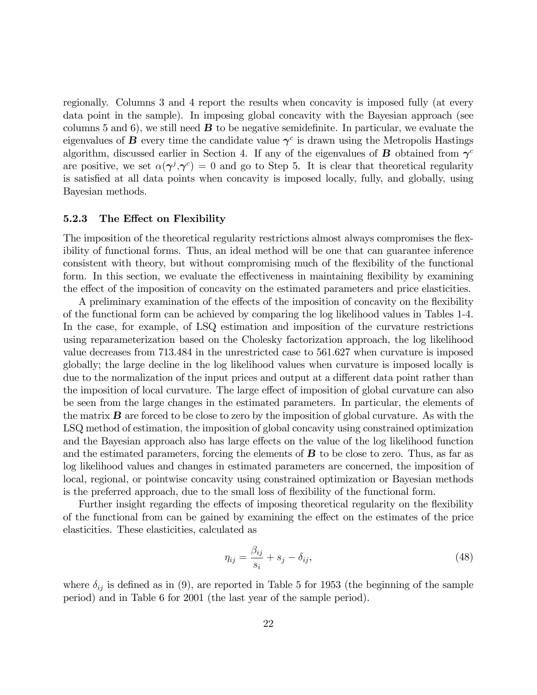regionally. Columns 3 and 4 report the results when concavity is imposed fully (at every data point in the sample). In imposing global concavity with the Bayesian approach (see columns 5 and 6), we still need  $\bf{B}$  to be negative semidefinite. In particular, we evaluate the eigenvalues of **B** every time the candidate value  $\gamma^c$  is drawn using the Metropolis Hastings algorithm, discussed earlier in Section 4. If any of the eigenvalues of **B** obtained from  $\gamma^c$ are positive, we set  $\alpha(\gamma^j, \gamma^c) = 0$  and go to Step 5. It is clear that theoretical regularity is satisfied at all data points when concavity is imposed locally, fully, and globally, using Bayesian methods.

#### 5.2.3 The Effect on Flexibility

The imposition of the theoretical regularity restrictions almost always compromises the flexibility of functional forms. Thus, an ideal method will be one that can guarantee inference consistent with theory, but without compromising much of the flexibility of the functional form. In this section, we evaluate the effectiveness in maintaining flexibility by examining the effect of the imposition of concavity on the estimated parameters and price elasticities.

A preliminary examination of the effects of the imposition of concavity on the flexibility of the functional form can be achieved by comparing the log likelihood values in Tables 1-4. In the case, for example, of LSQ estimation and imposition of the curvature restrictions using reparameterization based on the Cholesky factorization approach, the log likelihood value decreases from 713.484 in the unrestricted case to 561.627 when curvature is imposed globally; the large decline in the log likelihood values when curvature is imposed locally is due to the normalization of the input prices and output at a different data point rather than the imposition of local curvature. The large effect of imposition of global curvature can also be seen from the large changes in the estimated parameters. In particular, the elements of the matrix  $\bf{B}$  are forced to be close to zero by the imposition of global curvature. As with the LSQ method of estimation, the imposition of global concavity using constrained optimization and the Bayesian approach also has large effects on the value of the log likelihood function and the estimated parameters, forcing the elements of  $\bf{B}$  to be close to zero. Thus, as far as log likelihood values and changes in estimated parameters are concerned, the imposition of local, regional, or pointwise concavity using constrained optimization or Bayesian methods is the preferred approach, due to the small loss of flexibility of the functional form.

Further insight regarding the effects of imposing theoretical regularity on the flexibility of the functional from can be gained by examining the effect on the estimates of the price elasticities. These elasticities, calculated as

$$
\eta_{ij} = \frac{\beta_{ij}}{s_i} + s_j - \delta_{ij},\tag{48}
$$

where  $\delta_{ij}$  is defined as in (9), are reported in Table 5 for 1953 (the beginning of the sample period) and in Table 6 for 2001 (the last year of the sample period).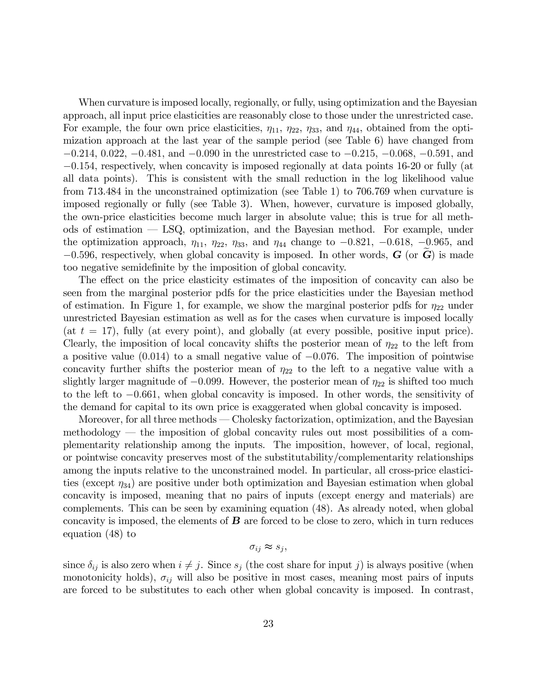When curvature is imposed locally, regionally, or fully, using optimization and the Bayesian approach, all input price elasticities are reasonably close to those under the unrestricted case. For example, the four own price elasticities,  $\eta_{11}$ ,  $\eta_{22}$ ,  $\eta_{33}$ , and  $\eta_{44}$ , obtained from the optimization approach at the last year of the sample period (see Table 6) have changed from  $-0.214, 0.022, -0.481,$  and  $-0.090$  in the unrestricted case to  $-0.215, -0.068, -0.591,$  and  $-0.154$ , respectively, when concavity is imposed regionally at data points 16-20 or fully (at all data points). This is consistent with the small reduction in the log likelihood value from 713.484 in the unconstrained optimization (see Table 1) to 706.769 when curvature is imposed regionally or fully (see Table 3). When, however, curvature is imposed globally, the own-price elasticities become much larger in absolute value; this is true for all methods of estimation  $\sim$  LSQ, optimization, and the Bayesian method. For example, under the optimization approach,  $\eta_{11}$ ,  $\eta_{22}$ ,  $\eta_{33}$ , and  $\eta_{44}$  change to  $-0.821$ ,  $-0.618$ ,  $-0.965$ , and  $-0.596$ , respectively, when global concavity is imposed. In other words, **G** (or **G**) is made too negative semidefinite by the imposition of global concavity.

The effect on the price elasticity estimates of the imposition of concavity can also be seen from the marginal posterior pdfs for the price elasticities under the Bayesian method of estimation. In Figure 1, for example, we show the marginal posterior pdfs for  $\eta_{22}$  under unrestricted Bayesian estimation as well as for the cases when curvature is imposed locally (at  $t = 17$ ), fully (at every point), and globally (at every possible, positive input price). Clearly, the imposition of local concavity shifts the posterior mean of  $\eta_{22}$  to the left from a positive value  $(0.014)$  to a small negative value of  $-0.076$ . The imposition of pointwise concavity further shifts the posterior mean of  $\eta_{22}$  to the left to a negative value with a slightly larger magnitude of  $-0.099$ . However, the posterior mean of  $\eta_{22}$  is shifted too much to the left to  $-0.661$ , when global concavity is imposed. In other words, the sensitivity of the demand for capital to its own price is exaggerated when global concavity is imposed.

Moreover, for all three methods — Cholesky factorization, optimization, and the Bayesian methodology  $\sim$  the imposition of global concavity rules out most possibilities of a complementarity relationship among the inputs. The imposition, however, of local, regional, or pointwise concavity preserves most of the substitutability/complementarity relationships among the inputs relative to the unconstrained model. In particular, all cross-price elasticities (except  $\eta_{34}$ ) are positive under both optimization and Bayesian estimation when global concavity is imposed, meaning that no pairs of inputs (except energy and materials) are complements. This can be seen by examining equation (48). As already noted, when global concavity is imposed, the elements of  $\bf{B}$  are forced to be close to zero, which in turn reduces equation (48) to

### $\sigma_{ij} \approx s_j$

since  $\delta_{ij}$  is also zero when  $i \neq j$ . Since  $s_j$  (the cost share for input j) is always positive (when monotonicity holds),  $\sigma_{ij}$  will also be positive in most cases, meaning most pairs of inputs are forced to be substitutes to each other when global concavity is imposed. In contrast,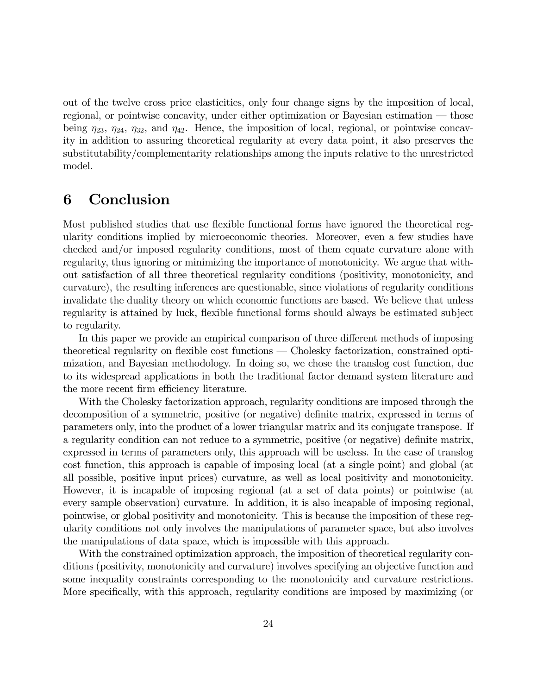out of the twelve cross price elasticities, only four change signs by the imposition of local, regional, or pointwise concavity, under either optimization or Bayesian estimation  $-$  those being  $\eta_{23}$ ,  $\eta_{24}$ ,  $\eta_{32}$ , and  $\eta_{42}$ . Hence, the imposition of local, regional, or pointwise concavity in addition to assuring theoretical regularity at every data point, it also preserves the substitutability/complementarity relationships among the inputs relative to the unrestricted model.

## 6 Conclusion

Most published studies that use flexible functional forms have ignored the theoretical regularity conditions implied by microeconomic theories. Moreover, even a few studies have checked and/or imposed regularity conditions, most of them equate curvature alone with regularity, thus ignoring or minimizing the importance of monotonicity. We argue that without satisfaction of all three theoretical regularity conditions (positivity, monotonicity, and curvature), the resulting inferences are questionable, since violations of regularity conditions invalidate the duality theory on which economic functions are based. We believe that unless regularity is attained by luck, flexible functional forms should always be estimated subject to regularity.

In this paper we provide an empirical comparison of three different methods of imposing theoretical regularity on flexible cost functions  $-$  Cholesky factorization, constrained optimization, and Bayesian methodology. In doing so, we chose the translog cost function, due to its widespread applications in both the traditional factor demand system literature and the more recent firm efficiency literature.

With the Cholesky factorization approach, regularity conditions are imposed through the decomposition of a symmetric, positive (or negative) definite matrix, expressed in terms of parameters only, into the product of a lower triangular matrix and its conjugate transpose. If a regularity condition can not reduce to a symmetric, positive (or negative) definite matrix, expressed in terms of parameters only, this approach will be useless. In the case of translog cost function, this approach is capable of imposing local (at a single point) and global (at all possible, positive input prices) curvature, as well as local positivity and monotonicity. However, it is incapable of imposing regional (at a set of data points) or pointwise (at every sample observation) curvature. In addition, it is also incapable of imposing regional, pointwise, or global positivity and monotonicity. This is because the imposition of these regularity conditions not only involves the manipulations of parameter space, but also involves the manipulations of data space, which is impossible with this approach.

With the constrained optimization approach, the imposition of theoretical regularity conditions (positivity, monotonicity and curvature) involves specifying an objective function and some inequality constraints corresponding to the monotonicity and curvature restrictions. More specifically, with this approach, regularity conditions are imposed by maximizing (or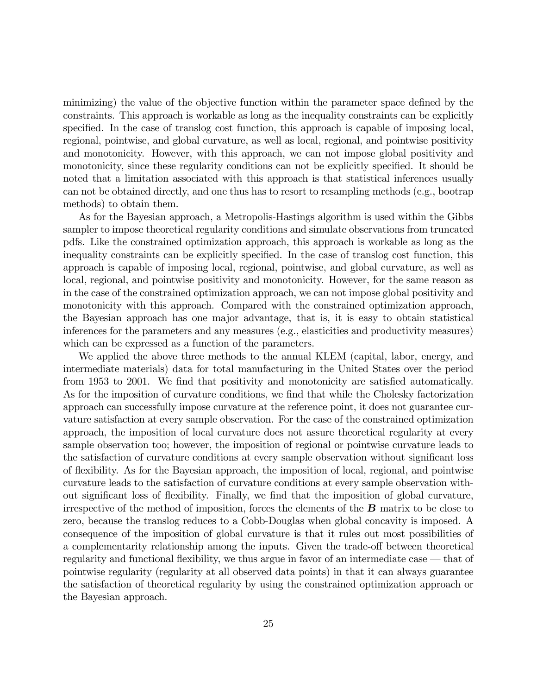minimizing) the value of the objective function within the parameter space defined by the constraints. This approach is workable as long as the inequality constraints can be explicitly specified. In the case of translog cost function, this approach is capable of imposing local, regional, pointwise, and global curvature, as well as local, regional, and pointwise positivity and monotonicity. However, with this approach, we can not impose global positivity and monotonicity, since these regularity conditions can not be explicitly specified. It should be noted that a limitation associated with this approach is that statistical inferences usually can not be obtained directly, and one thus has to resort to resampling methods (e.g., bootrap methods) to obtain them.

As for the Bayesian approach, a Metropolis-Hastings algorithm is used within the Gibbs sampler to impose theoretical regularity conditions and simulate observations from truncated pdfs. Like the constrained optimization approach, this approach is workable as long as the inequality constraints can be explicitly specified. In the case of translog cost function, this approach is capable of imposing local, regional, pointwise, and global curvature, as well as local, regional, and pointwise positivity and monotonicity. However, for the same reason as in the case of the constrained optimization approach, we can not impose global positivity and monotonicity with this approach. Compared with the constrained optimization approach, the Bayesian approach has one major advantage, that is, it is easy to obtain statistical inferences for the parameters and any measures (e.g., elasticities and productivity measures) which can be expressed as a function of the parameters.

We applied the above three methods to the annual KLEM (capital, labor, energy, and intermediate materials) data for total manufacturing in the United States over the period from 1953 to 2001. We find that positivity and monotonicity are satisfied automatically. As for the imposition of curvature conditions, we find that while the Cholesky factorization approach can successfully impose curvature at the reference point, it does not guarantee curvature satisfaction at every sample observation. For the case of the constrained optimization approach, the imposition of local curvature does not assure theoretical regularity at every sample observation too; however, the imposition of regional or pointwise curvature leads to the satisfaction of curvature conditions at every sample observation without significant loss of áexibility. As for the Bayesian approach, the imposition of local, regional, and pointwise curvature leads to the satisfaction of curvature conditions at every sample observation without significant loss of flexibility. Finally, we find that the imposition of global curvature, irrespective of the method of imposition, forces the elements of the B matrix to be close to zero, because the translog reduces to a Cobb-Douglas when global concavity is imposed. A consequence of the imposition of global curvature is that it rules out most possibilities of a complementarity relationship among the inputs. Given the trade-off between theoretical regularity and functional flexibility, we thus argue in favor of an intermediate case  $-$  that of pointwise regularity (regularity at all observed data points) in that it can always guarantee the satisfaction of theoretical regularity by using the constrained optimization approach or the Bayesian approach.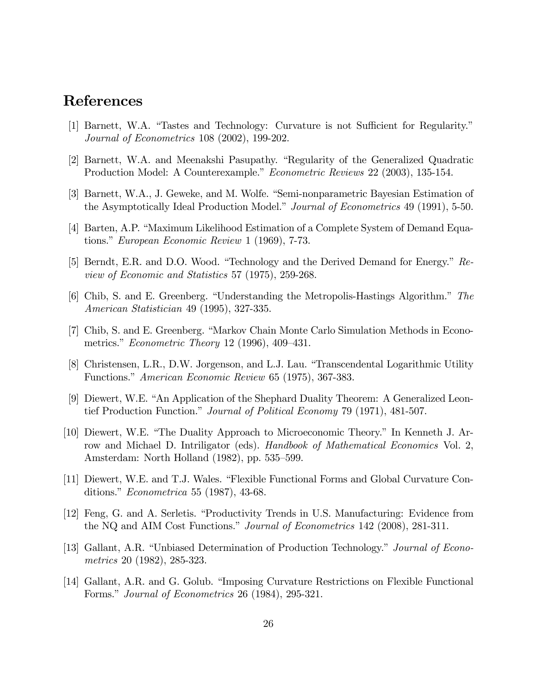## References

- [1] Barnett, W.A. "Tastes and Technology: Curvature is not Sufficient for Regularity." Journal of Econometrics 108 (2002), 199-202.
- [2] Barnett, W.A. and Meenakshi Pasupathy. "Regularity of the Generalized Quadratic Production Model: A Counterexample." Econometric Reviews 22 (2003), 135-154.
- [3] Barnett, W.A., J. Geweke, and M. Wolfe. "Semi-nonparametric Bayesian Estimation of the Asymptotically Ideal Production Model." *Journal of Econometrics* 49 (1991), 5-50.
- [4] Barten, A.P. "Maximum Likelihood Estimation of a Complete System of Demand Equations." European Economic Review 1 (1969),  $7-73$ .
- [5] Berndt, E.R. and D.O. Wood. "Technology and the Derived Demand for Energy."  $Re$ view of Economic and Statistics 57 (1975), 259-268.
- [6] Chib, S. and E. Greenberg. "Understanding the Metropolis-Hastings Algorithm." The American Statistician 49 (1995), 327-335.
- [7] Chib, S. and E. Greenberg. "Markov Chain Monte Carlo Simulation Methods in Econometrics." *Econometric Theory* 12 (1996), 409–431.
- [8] Christensen, L.R., D.W. Jorgenson, and L.J. Lau. "Transcendental Logarithmic Utility Functions." American Economic Review 65 (1975), 367-383.
- [9] Diewert, W.E. "An Application of the Shephard Duality Theorem: A Generalized Leontief Production Function." Journal of Political Economy 79 (1971), 481-507.
- [10] Diewert, W.E. "The Duality Approach to Microeconomic Theory." In Kenneth J. Arrow and Michael D. Intriligator (eds). Handbook of Mathematical Economics Vol. 2, Amsterdam: North Holland  $(1982)$ , pp. 535–599.
- [11] Diewert, W.E. and T.J. Wales. "Flexible Functional Forms and Global Curvature Conditions."  $Econometrica 55 (1987), 43-68.$
- [12] Feng, G. and A. Serletis. "Productivity Trends in U.S. Manufacturing: Evidence from the NQ and AIM Cost Functions." Journal of Econometrics 142 (2008), 281-311.
- [13] Gallant, A.R. "Unbiased Determination of Production Technology." Journal of Econometrics 20 (1982), 285-323.
- [14] Gallant, A.R. and G. Golub. "Imposing Curvature Restrictions on Flexible Functional Forms." Journal of Econometrics 26 (1984), 295-321.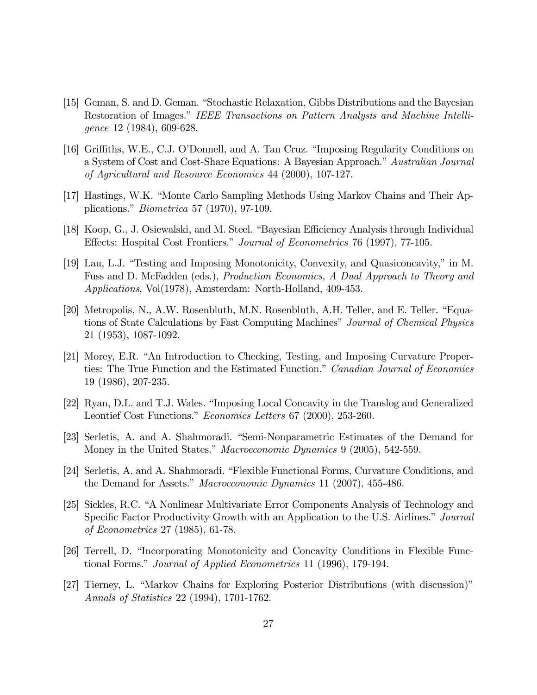- [15] Geman, S. and D. Geman. "Stochastic Relaxation, Gibbs Distributions and the Bayesian Restoration of Images." IEEE Transactions on Pattern Analysis and Machine Intelligence 12 (1984), 609-628.
- [16] Griffiths, W.E., C.J. O'Donnell, and A. Tan Cruz. "Imposing Regularity Conditions on a System of Cost and Cost-Share Equations: A Bayesian Approach." Australian Journal of Agricultural and Resource Economics 44 (2000), 107-127.
- [17] Hastings, W.K. "Monte Carlo Sampling Methods Using Markov Chains and Their Applications." *Biometrica* 57 (1970), 97-109.
- [18] Koop, G., J. Osiewalski, and M. Steel. "Bayesian Efficiency Analysis through Individual Effects: Hospital Cost Frontiers." Journal of Econometrics 76 (1997), 77-105.
- [19] Lau, L.J. "Testing and Imposing Monotonicity, Convexity, and Quasiconcavity," in M. Fuss and D. McFadden (eds.), Production Economics, A Dual Approach to Theory and Applications, Vol(1978), Amsterdam: North-Holland, 409-453.
- [20] Metropolis, N., A.W. Rosenbluth, M.N. Rosenbluth, A.H. Teller, and E. Teller. "Equations of State Calculations by Fast Computing Machines" Journal of Chemical Physics 21 (1953), 1087-1092.
- [21] Morey, E.R. "An Introduction to Checking, Testing, and Imposing Curvature Properties: The True Function and the Estimated Function." Canadian Journal of Economics 19 (1986), 207-235.
- [22] Ryan, D.L. and T.J. Wales. "Imposing Local Concavity in the Translog and Generalized Leontief Cost Functions." Economics Letters 67 (2000), 253-260.
- [23] Serletis, A. and A. Shahmoradi. "Semi-Nonparametric Estimates of the Demand for Money in the United States." Macroeconomic Dynamics 9 (2005), 542-559.
- [24] Serletis, A. and A. Shahmoradi. "Flexible Functional Forms, Curvature Conditions, and the Demand for Assets." Macroeconomic Dynamics 11 (2007), 455-486.
- [25] Sickles, R.C. "A Nonlinear Multivariate Error Components Analysis of Technology and Specific Factor Productivity Growth with an Application to the U.S. Airlines.<sup>n</sup> Journal of Econometrics 27 (1985), 61-78.
- [26] Terrell, D. "Incorporating Monotonicity and Concavity Conditions in Flexible Functional Forms." Journal of Applied Econometrics 11 (1996), 179-194.
- [27] Tierney, L. "Markov Chains for Exploring Posterior Distributions (with discussion)" Annals of Statistics 22 (1994), 1701-1762.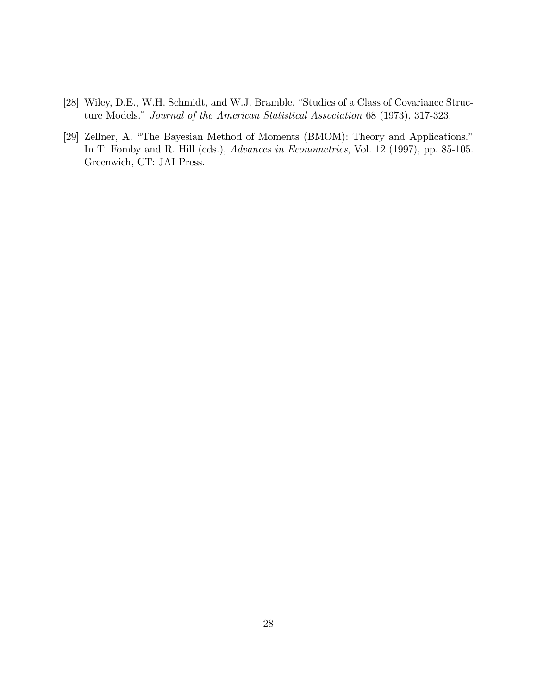- [28] Wiley, D.E., W.H. Schmidt, and W.J. Bramble. "Studies of a Class of Covariance Structure Models." Journal of the American Statistical Association 68 (1973), 317-323.
- [29] Zellner, A. "The Bayesian Method of Moments (BMOM): Theory and Applications." In T. Fomby and R. Hill (eds.), Advances in Econometrics, Vol. 12 (1997), pp. 85-105. Greenwich, CT: JAI Press.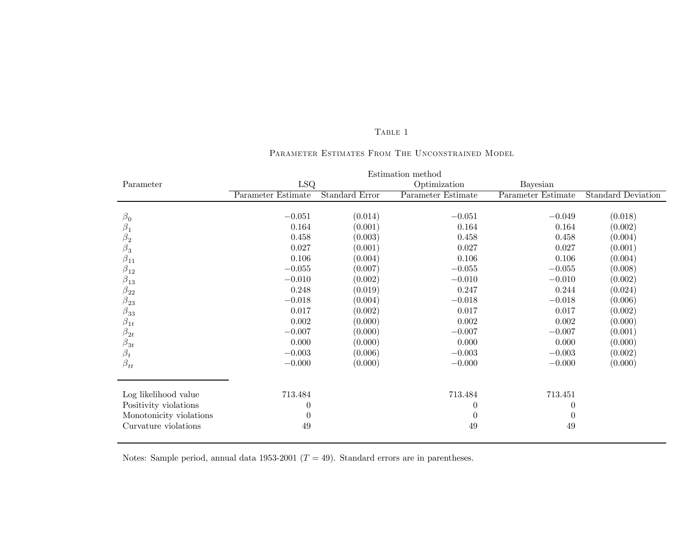#### Parameter Estimates From The Unconstrained Model

|                           | Estimation method  |                |                    |                    |                           |  |  |  |
|---------------------------|--------------------|----------------|--------------------|--------------------|---------------------------|--|--|--|
| Parameter                 | LSQ                |                | Optimization       | Bayesian           |                           |  |  |  |
|                           | Parameter Estimate | Standard Error | Parameter Estimate | Parameter Estimate | <b>Standard Deviation</b> |  |  |  |
|                           |                    |                |                    |                    |                           |  |  |  |
| $\beta_0$                 | $-0.051$           | (0.014)        | $-0.051$           | $-0.049$           | (0.018)                   |  |  |  |
| $\beta_1$                 | 0.164              | (0.001)        | 0.164              | 0.164              | (0.002)                   |  |  |  |
| $\beta_2$                 | 0.458              | (0.003)        | 0.458              | 0.458              | (0.004)                   |  |  |  |
| $\beta_3$                 | 0.027              | (0.001)        | 0.027              | 0.027              | (0.001)                   |  |  |  |
| $\beta_{11}$              | 0.106              | (0.004)        | 0.106              | 0.106              | (0.004)                   |  |  |  |
| $\boldsymbol{\beta}_{12}$ | $-0.055$           | (0.007)        | $-0.055$           | $-0.055$           | (0.008)                   |  |  |  |
| $\beta_{13}$              | $-0.010$           | (0.002)        | $-0.010$           | $-0.010$           | (0.002)                   |  |  |  |
| $\beta_{22}$              | 0.248              | (0.019)        | 0.247              | 0.244              | (0.024)                   |  |  |  |
| $\beta_{23}$              | $-0.018$           | (0.004)        | $-0.018$           | $-0.018$           | (0.006)                   |  |  |  |
| $\beta_{33}$              | 0.017              | (0.002)        | 0.017              | 0.017              | (0.002)                   |  |  |  |
| $\beta_{1t}$              | 0.002              | (0.000)        | 0.002              | 0.002              | (0.000)                   |  |  |  |
| $\beta_{2t}$              | $-0.007$           | (0.000)        | $-0.007$           | $-0.007$           | (0.001)                   |  |  |  |
| $\beta_{3t}$              | 0.000              | (0.000)        | 0.000              | 0.000              | (0.000)                   |  |  |  |
| $\boldsymbol{\beta}_t$    | $-0.003$           | (0.006)        | $-0.003$           | $-0.003$           | (0.002)                   |  |  |  |
| $\beta_{tt}$              | $-0.000$           | (0.000)        | $-0.000$           | $-0.000$           | (0.000)                   |  |  |  |
|                           |                    |                |                    |                    |                           |  |  |  |
|                           |                    |                |                    |                    |                           |  |  |  |
| Log likelihood value      | 713.484            |                | 713.484            | 713.451            |                           |  |  |  |
| Positivity violations     | 0                  |                | $\theta$           | $\overline{0}$     |                           |  |  |  |
| Monotonicity violations   |                    |                | $\theta$           | $\theta$           |                           |  |  |  |
| Curvature violations      | 49                 |                | 49                 | 49                 |                           |  |  |  |
|                           |                    |                |                    |                    |                           |  |  |  |

Notes: Sample period, annual data 1953-2001 ( $T = 49$ ). Standard errors are in parentheses.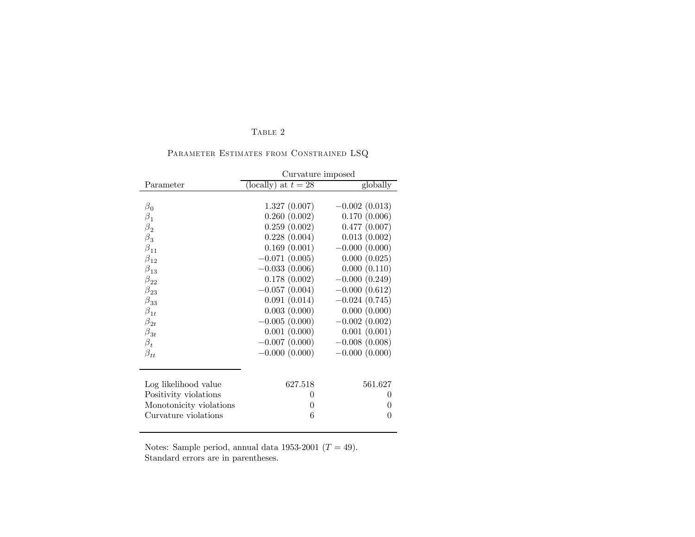### Parameter Estimates from Constrained LSQ

|                         | Curvature imposed     |                 |  |  |
|-------------------------|-----------------------|-----------------|--|--|
| Parameter               | (locally) at $t = 28$ | globally        |  |  |
|                         |                       |                 |  |  |
| $\beta_0$               | 1.327(0.007)          | $-0.002(0.013)$ |  |  |
| $\beta_1$               | 0.260(0.002)          | 0.170(0.006)    |  |  |
| $\beta_2$               | 0.259(0.002)          | 0.477(0.007)    |  |  |
| $\beta_3$               | 0.228(0.004)          | 0.013(0.002)    |  |  |
| $\beta_{11}$            | 0.169(0.001)          | $-0.000(0.000)$ |  |  |
| $\beta_{12}$            | $-0.071(0.005)$       | 0.000(0.025)    |  |  |
| $\beta_{13}$            | $-0.033(0.006)$       | 0.000(0.110)    |  |  |
| $\beta_{22}$            | 0.178(0.002)          | $-0.000(0.249)$ |  |  |
| $\beta_{23}$            | $-0.057(0.004)$       | $-0.000(0.612)$ |  |  |
| $\beta_{33}$            | 0.091(0.014)          | $-0.024(0.745)$ |  |  |
| $\beta_{1t}$            | 0.003(0.000)          | 0.000(0.000)    |  |  |
| $\beta_{2t}$            | $-0.005(0.000)$       | $-0.002(0.002)$ |  |  |
| $\beta_{3t}$            | 0.001(0.000)          | 0.001(0.001)    |  |  |
| $\beta_t$               | $-0.007(0.000)$       | $-0.008(0.008)$ |  |  |
| $\beta_{tt}$            | $-0.000(0.000)$       | $-0.000(0.000)$ |  |  |
|                         |                       |                 |  |  |
|                         |                       |                 |  |  |
| Log likelihood value    | 627.518               | 561.627         |  |  |
| Positivity violations   | $\theta$              | $\theta$        |  |  |
| Monotonicity violations | $\theta$              | 0               |  |  |
| Curvature violations    | 6                     | $\theta$        |  |  |
|                         |                       |                 |  |  |

Notes: Sample period, annual data 1953-2001 ( $T = 49$ ). Standard errors are in parentheses.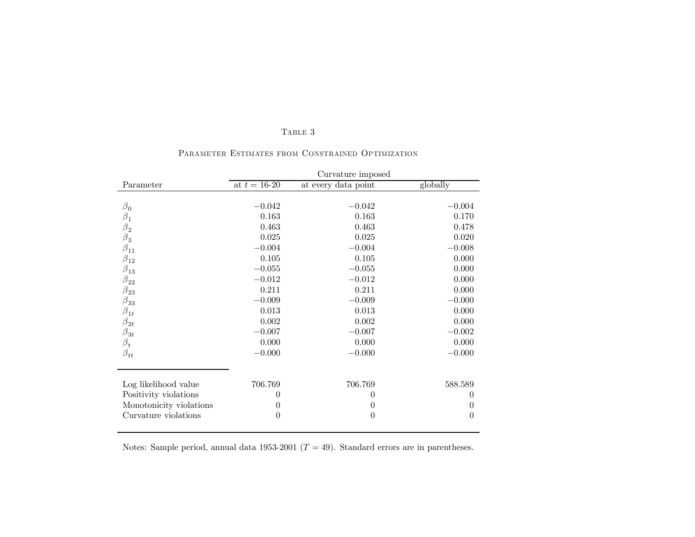|                         | Curvature imposed |                     |                  |  |  |  |  |
|-------------------------|-------------------|---------------------|------------------|--|--|--|--|
| Parameter               | at $t = 16-20$    | at every data point | $g$ lobally      |  |  |  |  |
|                         |                   |                     |                  |  |  |  |  |
| $\beta_0$               | $-0.042$          | $-0.042$            | $-0.004$         |  |  |  |  |
| $\beta_1$               | 0.163             | 0.163               | 0.170            |  |  |  |  |
| $\beta_2$               | 0.463             | 0.463               | 0.478            |  |  |  |  |
| $\beta_3$               | 0.025             | 0.025               | 0.020            |  |  |  |  |
| $\beta_{11}$            | $-0.004$          | $-0.004$            | $-0.008$         |  |  |  |  |
| $\beta_{12}$            | 0.105             | 0.105               | 0.000            |  |  |  |  |
| $\beta_{13}$            | $-0.055$          | $-0.055$            | 0.000            |  |  |  |  |
| $\beta_{22}$            | $-0.012$          | $-0.012$            | 0.000            |  |  |  |  |
| $\beta_{23}$            | 0.211             | 0.211               | 0.000            |  |  |  |  |
| $\beta_{33}$            | $-0.009$          | $-0.009$            | $-0.000$         |  |  |  |  |
| $\beta_{1t}$            | 0.013             | 0.013               | 0.000            |  |  |  |  |
| $\beta_{2t}$            | 0.002             | 0.002               | 0.000            |  |  |  |  |
| $\beta_{3t}$            | $-0.007$          | $-0.007$            | $-0.002$         |  |  |  |  |
| $\beta_t$               | 0.000             | 0.000               | 0.000            |  |  |  |  |
| $\beta_{tt}$            | $-0.000$          | $-0.000$            | $-0.000$         |  |  |  |  |
| Log likelihood value    | 706.769           | 706.769             | 588.589          |  |  |  |  |
| Positivity violations   | $\boldsymbol{0}$  | $\theta$            | $\theta$         |  |  |  |  |
| Monotonicity violations | $\theta$          | $\boldsymbol{0}$    | $\boldsymbol{0}$ |  |  |  |  |
| Curvature violations    | $\overline{0}$    | $\boldsymbol{0}$    | $\overline{0}$   |  |  |  |  |

#### Parameter Estimates from Constrained Optimization

Notes: Sample period, annual data 1953-2001 ( $T = 49$ ). Standard errors are in parentheses.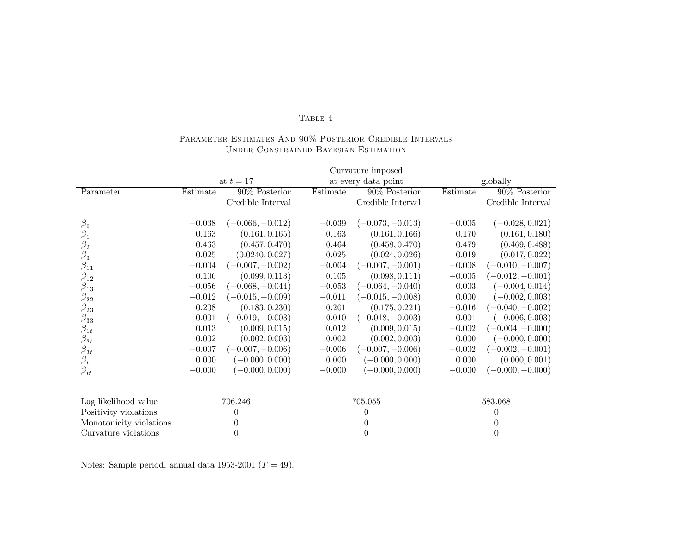### Parameter Estimates And 90% Posterior Credible Intervals Under Constrained Bayesian Estimation

|                         | Curvature imposed         |                    |          |                     |                  |                    |  |  |
|-------------------------|---------------------------|--------------------|----------|---------------------|------------------|--------------------|--|--|
|                         |                           | at $t=17$          |          | at every data point | globally         |                    |  |  |
| Parameter               | Estimate<br>90% Posterior |                    | Estimate | $90\%$ Posterior    | Estimate         | 90% Posterior      |  |  |
|                         |                           | Credible Interval  |          | Credible Interval   |                  | Credible Interval  |  |  |
|                         |                           |                    |          |                     |                  |                    |  |  |
| $\beta_0$               | $-0.038$                  | $(-0.066, -0.012)$ | $-0.039$ | $(-0.073, -0.013)$  | $-0.005$         | $(-0.028, 0.021)$  |  |  |
| $\beta_1$               | 0.163                     | (0.161, 0.165)     | 0.163    | (0.161, 0.166)      | 0.170            | (0.161, 0.180)     |  |  |
| $\boldsymbol{\beta}_2$  | 0.463                     | (0.457, 0.470)     | 0.464    | (0.458, 0.470)      | 0.479            | (0.469, 0.488)     |  |  |
| $\beta_3$               | 0.025                     | (0.0240, 0.027)    | 0.025    | (0.024, 0.026)      | 0.019            | (0.017, 0.022)     |  |  |
| $\beta_{11}$            | $-0.004$                  | $(-0.007, -0.002)$ | $-0.004$ | $(-0.007, -0.001)$  | $-0.008$         | $(-0.010, -0.007)$ |  |  |
| $\beta_{12}$            | $0.106\,$                 | (0.099, 0.113)     | 0.105    | (0.098, 0.111)      | $-0.005$         | $(-0.012, -0.001)$ |  |  |
| $\beta_{13}$            | $-0.056$                  | $(-0.068, -0.044)$ | $-0.053$ | $(-0.064, -0.040)$  | 0.003            | $(-0.004, 0.014)$  |  |  |
| $\beta_{22}$            | $-0.012$                  | $(-0.015, -0.009)$ | $-0.011$ | $(-0.015, -0.008)$  | 0.000            | $(-0.002, 0.003)$  |  |  |
| $\beta_{23}$            | 0.208                     | (0.183, 0.230)     | 0.201    | (0.175, 0.221)      | $-0.016$         | $(-0.040, -0.002)$ |  |  |
| $\beta_{33}$            | $-0.001$                  | $(-0.019, -0.003)$ | $-0.010$ | $(-0.018, -0.003)$  | $-0.001$         | $(-0.006, 0.003)$  |  |  |
| $\beta_{1t}$            | 0.013                     | (0.009, 0.015)     | 0.012    | (0.009, 0.015)      | $-0.002$         | $(-0.004, -0.000)$ |  |  |
| $\beta_{2t}$            | 0.002                     | (0.002, 0.003)     | 0.002    | (0.002, 0.003)      | 0.000            | $(-0.000, 0.000)$  |  |  |
| $\beta_{3t}$            | $-0.007$                  | $(-0.007, -0.006)$ | $-0.006$ | $(-0.007, -0.006)$  | $-0.002$         | $(-0.002, -0.001)$ |  |  |
| $\beta_t$               | 0.000                     | $(-0.000, 0.000)$  | 0.000    | $(-0.000, 0.000)$   | 0.000            | (0.000, 0.001)     |  |  |
| $\beta_{tt}$            | $-0.000$                  | $(-0.000, 0.000)$  | $-0.000$ | $(-0.000, 0.000)$   | $-0.000$         | $(-0.000, -0.000)$ |  |  |
|                         |                           |                    |          |                     |                  |                    |  |  |
|                         |                           |                    |          |                     |                  |                    |  |  |
| Log likelihood value    | 706.246                   |                    |          | 705.055             | 583.068          |                    |  |  |
| Positivity violations   |                           | $\theta$           |          | 0                   | $\theta$         |                    |  |  |
| Monotonicity violations |                           | $\theta$           |          | $\overline{0}$      | $\theta$         |                    |  |  |
| Curvature violations    | 0                         |                    |          | $\overline{0}$      | $\boldsymbol{0}$ |                    |  |  |

Notes: Sample period, annual data 1953-2001 ( $T = 49$ ).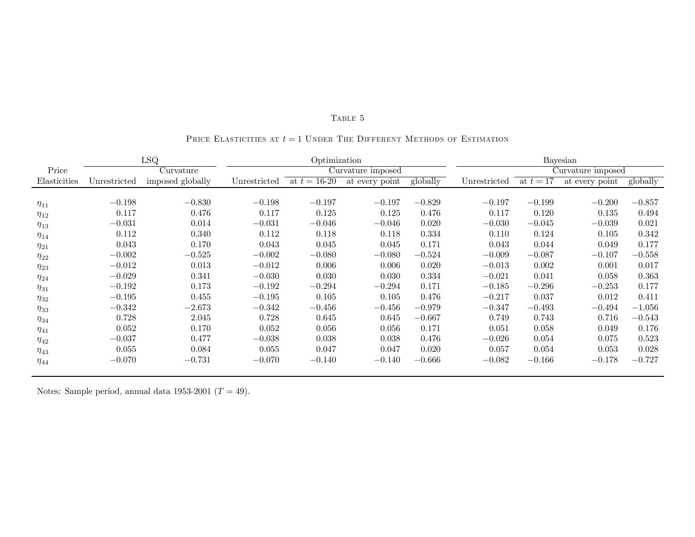#### PRICE ELASTICITIES AT  $t = 1$  UNDER THE DIFFERENT METHODS OF ESTIMATION

| LSQ          |              | Optimization     |                   |                |                | Bayesian          |              |           |                |          |
|--------------|--------------|------------------|-------------------|----------------|----------------|-------------------|--------------|-----------|----------------|----------|
| Price        |              | Curvature        | Curvature imposed |                |                | Curvature imposed |              |           |                |          |
| Elasticities | Unrestricted | imposed globally | Unrestricted      | at $t = 16-20$ | at every point | globally          | Unrestricted | at $t=17$ | at every point | globally |
|              |              |                  |                   |                |                |                   |              |           |                |          |
| $\eta_{11}$  | $-0.198$     | $-0.830$         | $-0.198$          | $-0.197$       | $-0.197$       | $-0.829$          | $-0.197$     | $-0.199$  | $-0.200$       | $-0.857$ |
| $\eta_{12}$  | 0.117        | 0.476            | 0.117             | 0.125          | 0.125          | 0.476             | 0.117        | 0.120     | 0.135          | 0.494    |
| $\eta_{13}$  | $-0.031$     | 0.014            | $-0.031$          | $-0.046$       | $-0.046$       | 0.020             | $-0.030$     | $-0.045$  | $-0.039$       | 0.021    |
| $\eta_{14}$  | 0.112        | 0.340            | 0.112             | 0.118          | 0.118          | 0.334             | 0.110        | 0.124     | 0.105          | 0.342    |
| $\eta_{21}$  | 0.043        | 0.170            | 0.043             | 0.045          | 0.045          | 0.171             | 0.043        | 0.044     | 0.049          | 0.177    |
| $\eta_{22}$  | $-0.002$     | $-0.525$         | $-0.002$          | $-0.080$       | $-0.080$       | $-0.524$          | $-0.009$     | $-0.087$  | $-0.107$       | $-0.558$ |
| $\eta_{23}$  | $-0.012$     | 0.013            | $-0.012$          | 0.006          | 0.006          | 0.020             | $-0.013$     | 0.002     | 0.001          | 0.017    |
| $\eta_{24}$  | $-0.029$     | 0.341            | $-0.030$          | 0.030          | 0.030          | 0.334             | $-0.021$     | 0.041     | 0.058          | 0.363    |
| $\eta_{31}$  | $-0.192$     | 0.173            | $-0.192$          | $-0.294$       | $-0.294$       | 0.171             | $-0.185$     | $-0.296$  | $-0.253$       | 0.177    |
| $\eta_{32}$  | $-0.195$     | 0.455            | $-0.195$          | 0.105          | 0.105          | 0.476             | $-0.217$     | 0.037     | 0.012          | 0.411    |
| $\eta_{33}$  | $-0.342$     | $-2.673$         | $-0.342$          | $-0.456$       | $-0.456$       | $-0.979$          | $-0.347$     | $-0.493$  | $-0.494$       | $-1.056$ |
| $\eta_{34}$  | 0.728        | 2.045            | 0.728             | 0.645          | 0.645          | $-0.667$          | 0.749        | 0.743     | 0.716          | $-0.543$ |
| $\eta_{41}$  | 0.052        | 0.170            | 0.052             | 0.056          | 0.056          | 0.171             | 0.051        | 0.058     | 0.049          | 0.176    |
| $\eta_{42}$  | $-0.037$     | 0.477            | $-0.038$          | 0.038          | 0.038          | 0.476             | $-0.026$     | 0.054     | 0.075          | 0.523    |
| $\eta_{43}$  | 0.055        | 0.084            | 0.055             | 0.047          | 0.047          | 0.020             | 0.057        | 0.054     | 0.053          | 0.028    |
| $\eta_{44}$  | $-0.070$     | $-0.731$         | $-0.070$          | $-0.140$       | $-0.140$       | $-0.666$          | $-0.082$     | $-0.166$  | $-0.178$       | $-0.727$ |
|              |              |                  |                   |                |                |                   |              |           |                |          |

Notes: Sample period, annual data 1953-2001 ( $T = 49$ ).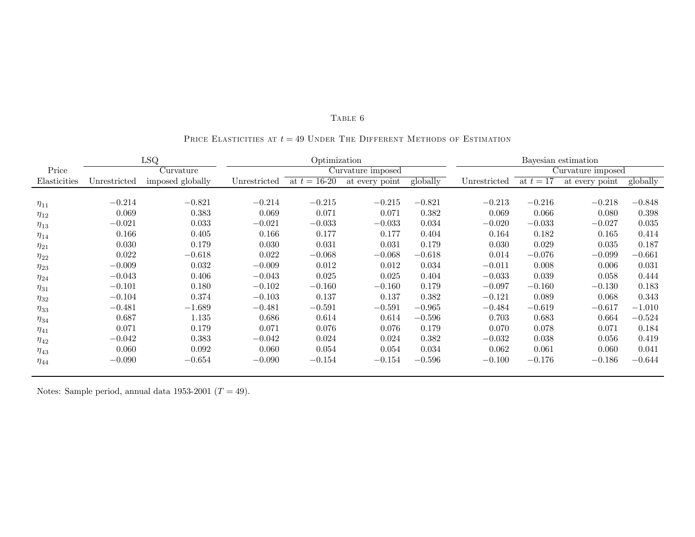#### PRICE ELASTICITIES AT  $t = 49$  UNDER THE DIFFERENT METHODS OF ESTIMATION

| LSQ          |              | Optimization     |                   |                |                | Bayesian estimation |              |           |                |          |
|--------------|--------------|------------------|-------------------|----------------|----------------|---------------------|--------------|-----------|----------------|----------|
| Price        |              | Curvature        | Curvature imposed |                |                | Curvature imposed   |              |           |                |          |
| Elasticities | Unrestricted | imposed globally | Unrestricted      | at $t = 16-20$ | at every point | $g$ lobally         | Unrestricted | at $t=17$ | at every point | globally |
|              |              |                  |                   |                |                |                     |              |           |                |          |
| $\eta_{11}$  | $-0.214$     | $-0.821$         | $-0.214$          | $-0.215$       | $-0.215$       | $-0.821$            | $-0.213$     | $-0.216$  | $-0.218$       | $-0.848$ |
| $\eta_{12}$  | 0.069        | 0.383            | 0.069             | 0.071          | 0.071          | 0.382               | 0.069        | 0.066     | 0.080          | 0.398    |
| $\eta_{13}$  | $-0.021$     | 0.033            | $-0.021$          | $-0.033$       | $-0.033$       | 0.034               | $-0.020$     | $-0.033$  | $-0.027$       | 0.035    |
| $\eta_{14}$  | 0.166        | 0.405            | 0.166             | 0.177          | 0.177          | 0.404               | 0.164        | 0.182     | 0.165          | 0.414    |
| $\eta_{21}$  | 0.030        | 0.179            | 0.030             | 0.031          | 0.031          | 0.179               | 0.030        | 0.029     | 0.035          | 0.187    |
| $\eta_{22}$  | 0.022        | $-0.618$         | 0.022             | $-0.068$       | $-0.068$       | $-0.618$            | 0.014        | $-0.076$  | $-0.099$       | $-0.661$ |
| $\eta_{23}$  | $-0.009$     | 0.032            | $-0.009$          | 0.012          | 0.012          | 0.034               | $-0.011$     | 0.008     | 0.006          | 0.031    |
| $\eta_{24}$  | $-0.043$     | 0.406            | $-0.043$          | 0.025          | 0.025          | 0.404               | $-0.033$     | 0.039     | 0.058          | 0.444    |
| $\eta_{31}$  | $-0.101$     | 0.180            | $-0.102$          | $-0.160$       | $-0.160$       | 0.179               | $-0.097$     | $-0.160$  | $-0.130$       | 0.183    |
| $\eta_{32}$  | $-0.104$     | 0.374            | $-0.103$          | 0.137          | 0.137          | 0.382               | $-0.121$     | 0.089     | 0.068          | 0.343    |
| $\eta_{33}$  | $-0.481$     | $-1.689$         | $-0.481$          | $-0.591$       | $-0.591$       | $-0.965$            | $-0.484$     | $-0.619$  | $-0.617$       | $-1.010$ |
| $\eta_{34}$  | 0.687        | 1.135            | 0.686             | 0.614          | 0.614          | $-0.596$            | 0.703        | 0.683     | 0.664          | $-0.524$ |
| $\eta_{41}$  | 0.071        | 0.179            | 0.071             | 0.076          | 0.076          | 0.179               | 0.070        | 0.078     | 0.071          | 0.184    |
| $\eta_{42}$  | $-0.042$     | 0.383            | $-0.042$          | 0.024          | 0.024          | 0.382               | $-0.032$     | 0.038     | 0.056          | 0.419    |
| $\eta_{43}$  | 0.060        | 0.092            | 0.060             | 0.054          | 0.054          | 0.034               | 0.062        | 0.061     | 0.060          | 0.041    |
| $\eta_{44}$  | $-0.090$     | $-0.654$         | $-0.090$          | $-0.154$       | $-0.154$       | $-0.596$            | $-0.100$     | $-0.176$  | $-0.186$       | $-0.644$ |
|              |              |                  |                   |                |                |                     |              |           |                |          |

Notes: Sample period, annual data 1953-2001 ( $T = 49$ ).